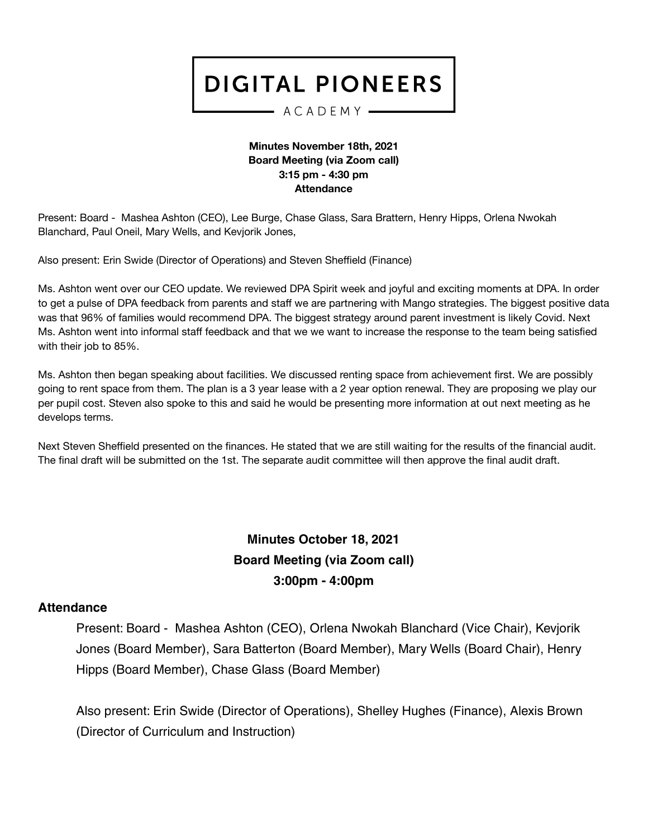#### $-$  ACADEMY  $-$

#### **Minutes November 18th, 2021 Board Meeting (via Zoom call) 3:15 pm - 4:30 pm Attendance**

Present: Board - Mashea Ashton (CEO), Lee Burge, Chase Glass, Sara Brattern, Henry Hipps, Orlena Nwokah Blanchard, Paul Oneil, Mary Wells, and Kevjorik Jones,

Also present: Erin Swide (Director of Operations) and Steven Sheffield (Finance)

Ms. Ashton went over our CEO update. We reviewed DPA Spirit week and joyful and exciting moments at DPA. In order to get a pulse of DPA feedback from parents and staff we are partnering with Mango strategies. The biggest positive data was that 96% of families would recommend DPA. The biggest strategy around parent investment is likely Covid. Next Ms. Ashton went into informal staff feedback and that we we want to increase the response to the team being satisfied with their job to 85%.

Ms. Ashton then began speaking about facilities. We discussed renting space from achievement first. We are possibly going to rent space from them. The plan is a 3 year lease with a 2 year option renewal. They are proposing we play our per pupil cost. Steven also spoke to this and said he would be presenting more information at out next meeting as he develops terms.

Next Steven Sheffield presented on the finances. He stated that we are still waiting for the results of the financial audit. The final draft will be submitted on the 1st. The separate audit committee will then approve the final audit draft.

## **Minutes October 18, 2021 Board Meeting (via Zoom call) 3:00pm - 4:00pm**

#### **Attendance**

Present: Board - Mashea Ashton (CEO), Orlena Nwokah Blanchard (Vice Chair), Kevjorik Jones (Board Member), Sara Batterton (Board Member), Mary Wells (Board Chair), Henry Hipps (Board Member), Chase Glass (Board Member)

Also present: Erin Swide (Director of Operations), Shelley Hughes (Finance), Alexis Brown (Director of Curriculum and Instruction)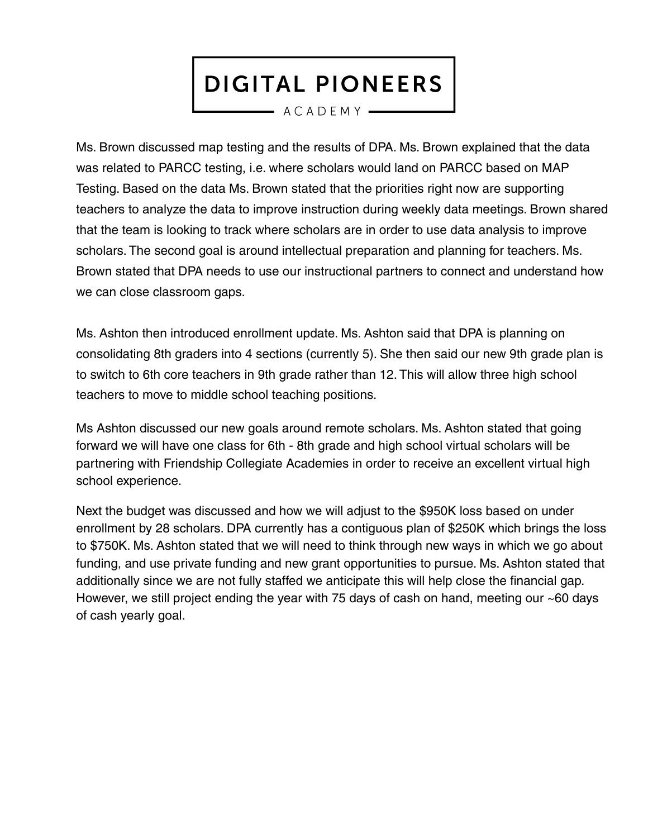$-$  ACADEMY  $-$ 

Ms. Brown discussed map testing and the results of DPA. Ms. Brown explained that the data was related to PARCC testing, i.e. where scholars would land on PARCC based on MAP Testing. Based on the data Ms. Brown stated that the priorities right now are supporting teachers to analyze the data to improve instruction during weekly data meetings. Brown shared that the team is looking to track where scholars are in order to use data analysis to improve scholars. The second goal is around intellectual preparation and planning for teachers. Ms. Brown stated that DPA needs to use our instructional partners to connect and understand how we can close classroom gaps.

Ms. Ashton then introduced enrollment update. Ms. Ashton said that DPA is planning on consolidating 8th graders into 4 sections (currently 5). She then said our new 9th grade plan is to switch to 6th core teachers in 9th grade rather than 12. This will allow three high school teachers to move to middle school teaching positions.

Ms Ashton discussed our new goals around remote scholars. Ms. Ashton stated that going forward we will have one class for 6th - 8th grade and high school virtual scholars will be partnering with Friendship Collegiate Academies in order to receive an excellent virtual high school experience.

Next the budget was discussed and how we will adjust to the \$950K loss based on under enrollment by 28 scholars. DPA currently has a contiguous plan of \$250K which brings the loss to \$750K. Ms. Ashton stated that we will need to think through new ways in which we go about funding, and use private funding and new grant opportunities to pursue. Ms. Ashton stated that additionally since we are not fully staffed we anticipate this will help close the financial gap. However, we still project ending the year with 75 days of cash on hand, meeting our ~60 days of cash yearly goal.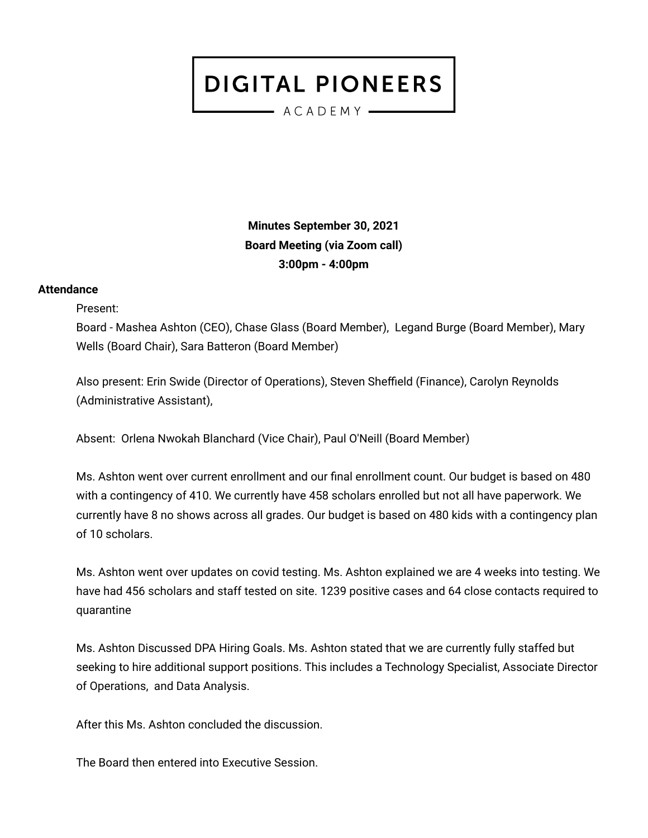- ACADEMY -

**Minutes September 30, 2021 Board Meeting (via Zoom call) 3:00pm - 4:00pm**

#### **Attendance**

Present:

Board - Mashea Ashton (CEO), Chase Glass (Board Member), Legand Burge (Board Member), Mary Wells (Board Chair), Sara Batteron (Board Member)

Also present: Erin Swide (Director of Operations), Steven Sheffield (Finance), Carolyn Reynolds (Administrative Assistant),

Absent: Orlena Nwokah Blanchard (Vice Chair), Paul O'Neill (Board Member)

Ms. Ashton went over current enrollment and our final enrollment count. Our budget is based on 480 with a contingency of 410. We currently have 458 scholars enrolled but not all have paperwork. We currently have 8 no shows across all grades. Our budget is based on 480 kids with a contingency plan of 10 scholars.

Ms. Ashton went over updates on covid testing. Ms. Ashton explained we are 4 weeks into testing. We have had 456 scholars and staff tested on site. 1239 positive cases and 64 close contacts required to quarantine

Ms. Ashton Discussed DPA Hiring Goals. Ms. Ashton stated that we are currently fully staffed but seeking to hire additional support positions. This includes a Technology Specialist, Associate Director of Operations, and Data Analysis.

After this Ms. Ashton concluded the discussion.

The Board then entered into Executive Session.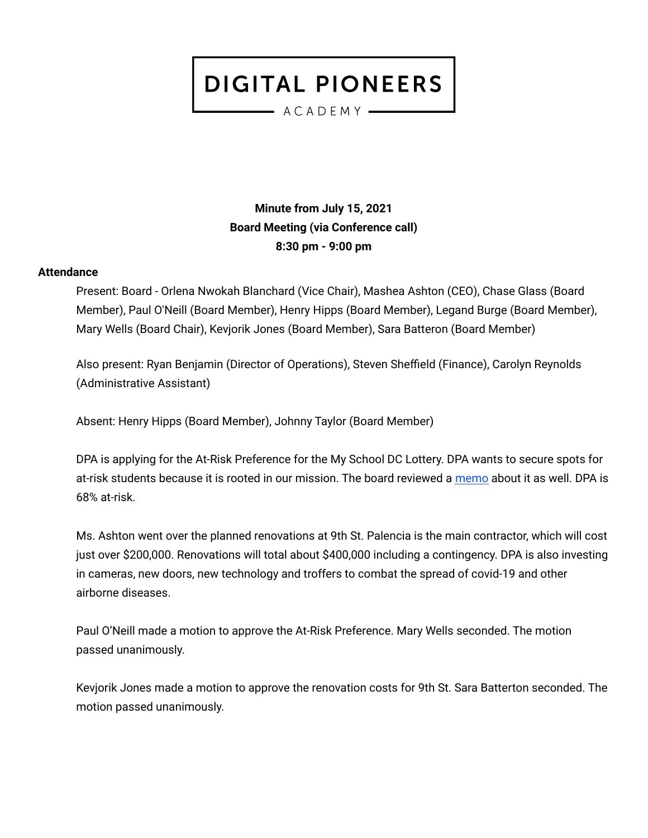- ACADEMY -

**Minute from July 15, 2021 Board Meeting (via Conference call) 8:30 pm - 9:00 pm**

#### **Attendance**

Present: Board - Orlena Nwokah Blanchard (Vice Chair), Mashea Ashton (CEO), Chase Glass (Board Member), Paul O'Neill (Board Member), Henry Hipps (Board Member), Legand Burge (Board Member), Mary Wells (Board Chair), Kevjorik Jones (Board Member), Sara Batteron (Board Member)

Also present: Ryan Benjamin (Director of Operations), Steven Sheffield (Finance), Carolyn Reynolds (Administrative Assistant)

Absent: Henry Hipps (Board Member), Johnny Taylor (Board Member)

DPA is applying for the At-Risk Preference for the My School DC Lottery. DPA wants to secure spots for at-risk students because it is rooted in our mission. The board reviewed a [memo](https://docs.google.com/document/d/1fYjnuOWh0nWMM7DYETye4yPOFsN0ye8be6-ebEg9bDE/edit) about it as well. DPA is 68% at-risk.

Ms. Ashton went over the planned renovations at 9th St. Palencia is the main contractor, which will cost just over \$200,000. Renovations will total about \$400,000 including a contingency. DPA is also investing in cameras, new doors, new technology and troffers to combat the spread of covid-19 and other airborne diseases.

Paul O'Neill made a motion to approve the At-Risk Preference. Mary Wells seconded. The motion passed unanimously.

Kevjorik Jones made a motion to approve the renovation costs for 9th St. Sara Batterton seconded. The motion passed unanimously.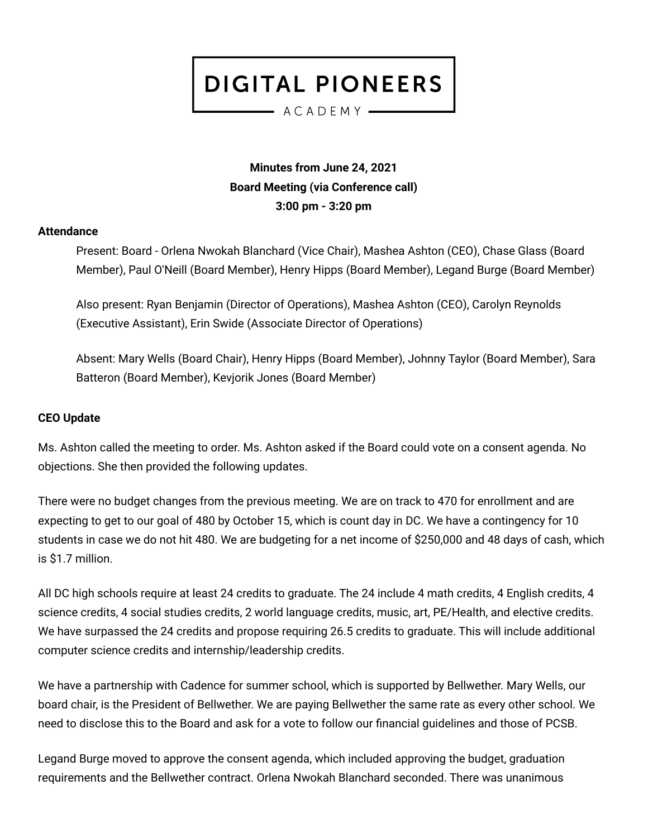ACADEMY

## **Minutes from June 24, 2021 Board Meeting (via Conference call) 3:00 pm - 3:20 pm**

#### **Attendance**

Present: Board - Orlena Nwokah Blanchard (Vice Chair), Mashea Ashton (CEO), Chase Glass (Board Member), Paul O'Neill (Board Member), Henry Hipps (Board Member), Legand Burge (Board Member)

Also present: Ryan Benjamin (Director of Operations), Mashea Ashton (CEO), Carolyn Reynolds (Executive Assistant), Erin Swide (Associate Director of Operations)

Absent: Mary Wells (Board Chair), Henry Hipps (Board Member), Johnny Taylor (Board Member), Sara Batteron (Board Member), Kevjorik Jones (Board Member)

### **CEO Update**

Ms. Ashton called the meeting to order. Ms. Ashton asked if the Board could vote on a consent agenda. No objections. She then provided the following updates.

There were no budget changes from the previous meeting. We are on track to 470 for enrollment and are expecting to get to our goal of 480 by October 15, which is count day in DC. We have a contingency for 10 students in case we do not hit 480. We are budgeting for a net income of \$250,000 and 48 days of cash, which is \$1.7 million.

All DC high schools require at least 24 credits to graduate. The 24 include 4 math credits, 4 English credits, 4 science credits, 4 social studies credits, 2 world language credits, music, art, PE/Health, and elective credits. We have surpassed the 24 credits and propose requiring 26.5 credits to graduate. This will include additional computer science credits and internship/leadership credits.

We have a partnership with Cadence for summer school, which is supported by Bellwether. Mary Wells, our board chair, is the President of Bellwether. We are paying Bellwether the same rate as every other school. We need to disclose this to the Board and ask for a vote to follow our financial guidelines and those of PCSB.

Legand Burge moved to approve the consent agenda, which included approving the budget, graduation requirements and the Bellwether contract. Orlena Nwokah Blanchard seconded. There was unanimous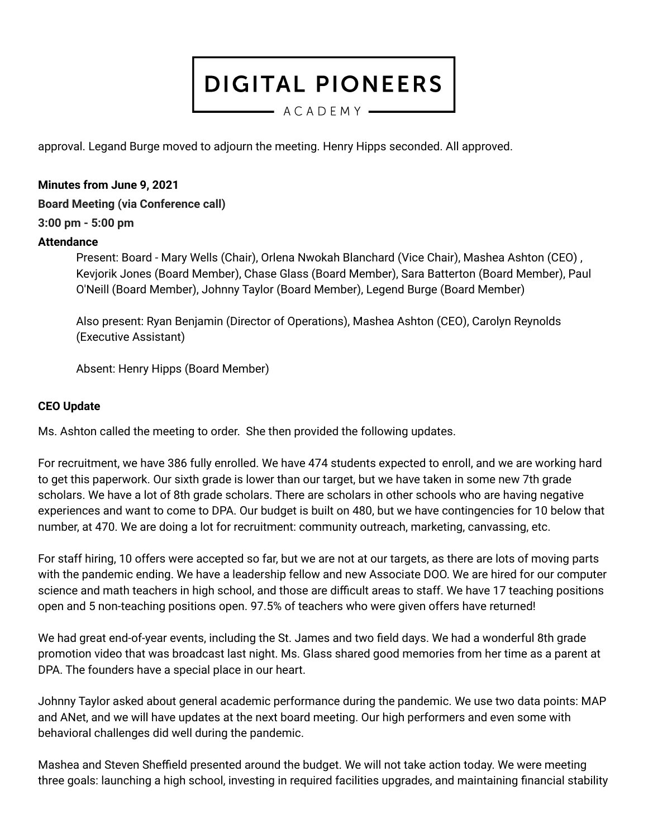$-$  ACADEMY  $-$ 

approval. Legand Burge moved to adjourn the meeting. Henry Hipps seconded. All approved.

#### **Minutes from June 9, 2021**

**Board Meeting (via Conference call)**

### **3:00 pm - 5:00 pm**

### **Attendance**

Present: Board - Mary Wells (Chair), Orlena Nwokah Blanchard (Vice Chair), Mashea Ashton (CEO) , Kevjorik Jones (Board Member), Chase Glass (Board Member), Sara Batterton (Board Member), Paul O'Neill (Board Member), Johnny Taylor (Board Member), Legend Burge (Board Member)

Also present: Ryan Benjamin (Director of Operations), Mashea Ashton (CEO), Carolyn Reynolds (Executive Assistant)

Absent: Henry Hipps (Board Member)

#### **CEO Update**

Ms. Ashton called the meeting to order. She then provided the following updates.

For recruitment, we have 386 fully enrolled. We have 474 students expected to enroll, and we are working hard to get this paperwork. Our sixth grade is lower than our target, but we have taken in some new 7th grade scholars. We have a lot of 8th grade scholars. There are scholars in other schools who are having negative experiences and want to come to DPA. Our budget is built on 480, but we have contingencies for 10 below that number, at 470. We are doing a lot for recruitment: community outreach, marketing, canvassing, etc.

For staff hiring, 10 offers were accepted so far, but we are not at our targets, as there are lots of moving parts with the pandemic ending. We have a leadership fellow and new Associate DOO. We are hired for our computer science and math teachers in high school, and those are difficult areas to staff. We have 17 teaching positions open and 5 non-teaching positions open. 97.5% of teachers who were given offers have returned!

We had great end-of-year events, including the St. James and two field days. We had a wonderful 8th grade promotion video that was broadcast last night. Ms. Glass shared good memories from her time as a parent at DPA. The founders have a special place in our heart.

Johnny Taylor asked about general academic performance during the pandemic. We use two data points: MAP and ANet, and we will have updates at the next board meeting. Our high performers and even some with behavioral challenges did well during the pandemic.

Mashea and Steven Sheffield presented around the budget. We will not take action today. We were meeting three goals: launching a high school, investing in required facilities upgrades, and maintaining financial stability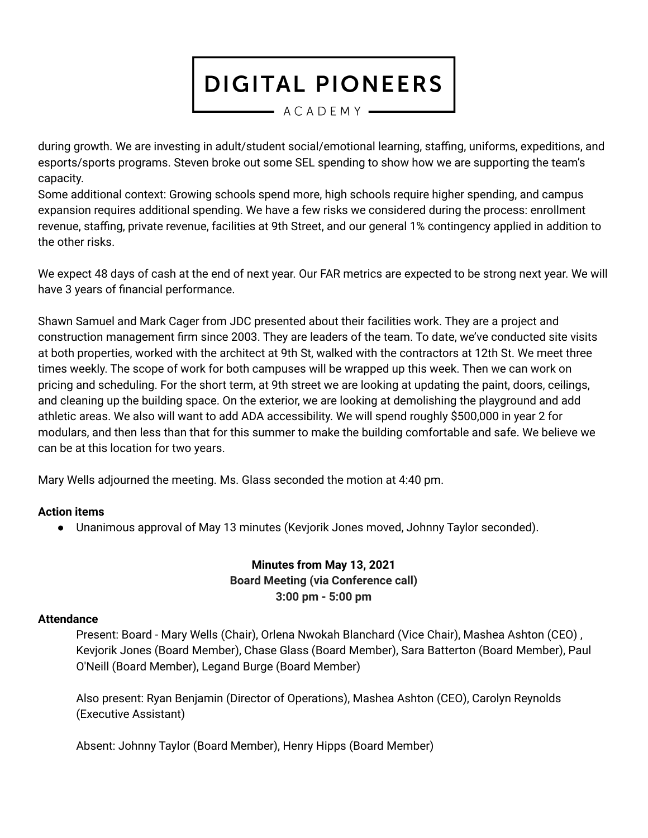$-$  ACADEMY  $-$ 

during growth. We are investing in adult/student social/emotional learning, staffing, uniforms, expeditions, and esports/sports programs. Steven broke out some SEL spending to show how we are supporting the team's capacity.

Some additional context: Growing schools spend more, high schools require higher spending, and campus expansion requires additional spending. We have a few risks we considered during the process: enrollment revenue, staffing, private revenue, facilities at 9th Street, and our general 1% contingency applied in addition to the other risks.

We expect 48 days of cash at the end of next year. Our FAR metrics are expected to be strong next year. We will have 3 years of financial performance.

Shawn Samuel and Mark Cager from JDC presented about their facilities work. They are a project and construction management firm since 2003. They are leaders of the team. To date, we've conducted site visits at both properties, worked with the architect at 9th St, walked with the contractors at 12th St. We meet three times weekly. The scope of work for both campuses will be wrapped up this week. Then we can work on pricing and scheduling. For the short term, at 9th street we are looking at updating the paint, doors, ceilings, and cleaning up the building space. On the exterior, we are looking at demolishing the playground and add athletic areas. We also will want to add ADA accessibility. We will spend roughly \$500,000 in year 2 for modulars, and then less than that for this summer to make the building comfortable and safe. We believe we can be at this location for two years.

Mary Wells adjourned the meeting. Ms. Glass seconded the motion at 4:40 pm.

#### **Action items**

● Unanimous approval of May 13 minutes (Kevjorik Jones moved, Johnny Taylor seconded).

## **Minutes from May 13, 2021 Board Meeting (via Conference call) 3:00 pm - 5:00 pm**

#### **Attendance**

Present: Board - Mary Wells (Chair), Orlena Nwokah Blanchard (Vice Chair), Mashea Ashton (CEO) , Kevjorik Jones (Board Member), Chase Glass (Board Member), Sara Batterton (Board Member), Paul O'Neill (Board Member), Legand Burge (Board Member)

Also present: Ryan Benjamin (Director of Operations), Mashea Ashton (CEO), Carolyn Reynolds (Executive Assistant)

Absent: Johnny Taylor (Board Member), Henry Hipps (Board Member)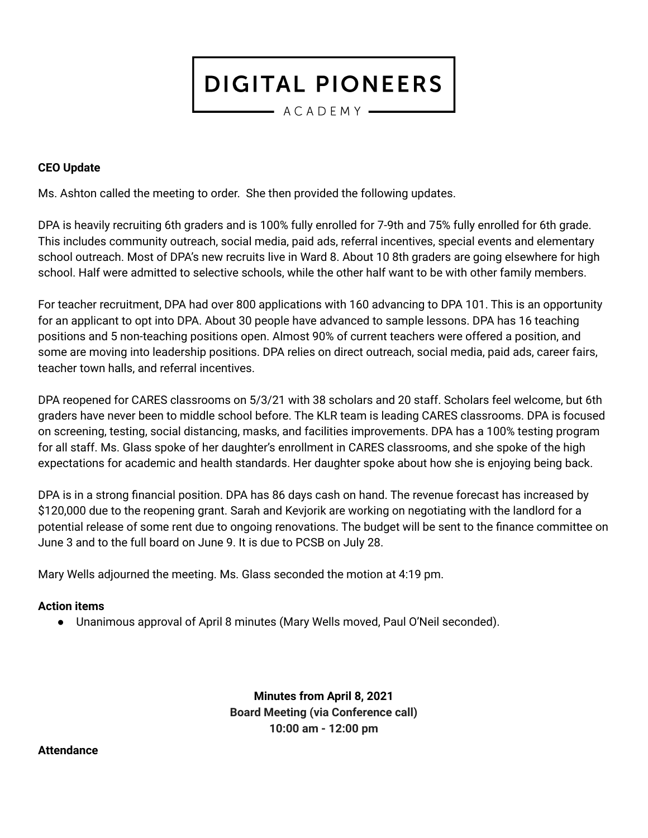$-$  ACADEMY  $-$ 

#### **CEO Update**

Ms. Ashton called the meeting to order. She then provided the following updates.

DPA is heavily recruiting 6th graders and is 100% fully enrolled for 7-9th and 75% fully enrolled for 6th grade. This includes community outreach, social media, paid ads, referral incentives, special events and elementary school outreach. Most of DPA's new recruits live in Ward 8. About 10 8th graders are going elsewhere for high school. Half were admitted to selective schools, while the other half want to be with other family members.

For teacher recruitment, DPA had over 800 applications with 160 advancing to DPA 101. This is an opportunity for an applicant to opt into DPA. About 30 people have advanced to sample lessons. DPA has 16 teaching positions and 5 non-teaching positions open. Almost 90% of current teachers were offered a position, and some are moving into leadership positions. DPA relies on direct outreach, social media, paid ads, career fairs, teacher town halls, and referral incentives.

DPA reopened for CARES classrooms on 5/3/21 with 38 scholars and 20 staff. Scholars feel welcome, but 6th graders have never been to middle school before. The KLR team is leading CARES classrooms. DPA is focused on screening, testing, social distancing, masks, and facilities improvements. DPA has a 100% testing program for all staff. Ms. Glass spoke of her daughter's enrollment in CARES classrooms, and she spoke of the high expectations for academic and health standards. Her daughter spoke about how she is enjoying being back.

DPA is in a strong financial position. DPA has 86 days cash on hand. The revenue forecast has increased by \$120,000 due to the reopening grant. Sarah and Kevjorik are working on negotiating with the landlord for a potential release of some rent due to ongoing renovations. The budget will be sent to the finance committee on June 3 and to the full board on June 9. It is due to PCSB on July 28.

Mary Wells adjourned the meeting. Ms. Glass seconded the motion at 4:19 pm.

#### **Action items**

● Unanimous approval of April 8 minutes (Mary Wells moved, Paul O'Neil seconded).

**Minutes from April 8, 2021 Board Meeting (via Conference call) 10:00 am - 12:00 pm**

**Attendance**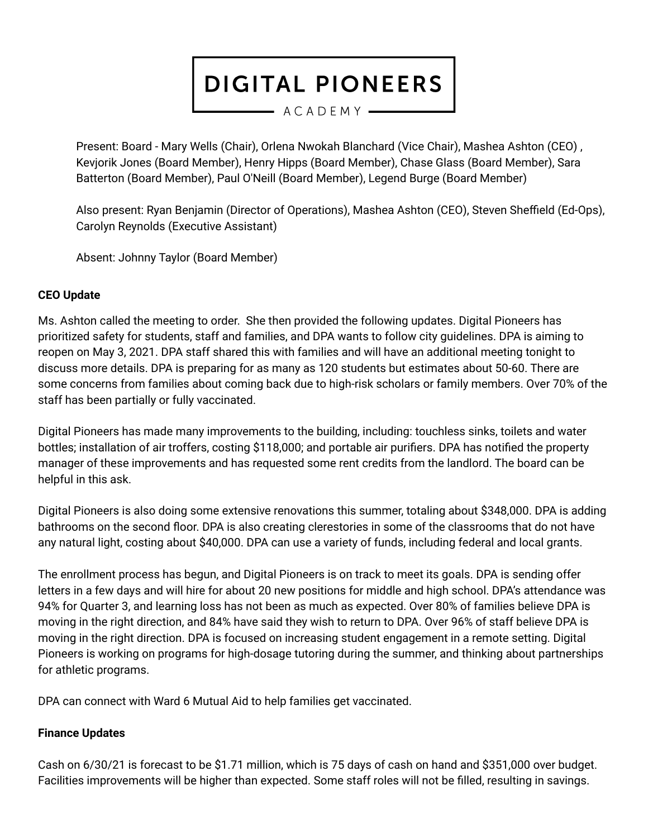- ACADEMY -

Present: Board - Mary Wells (Chair), Orlena Nwokah Blanchard (Vice Chair), Mashea Ashton (CEO) , Kevjorik Jones (Board Member), Henry Hipps (Board Member), Chase Glass (Board Member), Sara Batterton (Board Member), Paul O'Neill (Board Member), Legend Burge (Board Member)

Also present: Ryan Benjamin (Director of Operations), Mashea Ashton (CEO), Steven Sheffield (Ed-Ops), Carolyn Reynolds (Executive Assistant)

Absent: Johnny Taylor (Board Member)

## **CEO Update**

Ms. Ashton called the meeting to order. She then provided the following updates. Digital Pioneers has prioritized safety for students, staff and families, and DPA wants to follow city guidelines. DPA is aiming to reopen on May 3, 2021. DPA staff shared this with families and will have an additional meeting tonight to discuss more details. DPA is preparing for as many as 120 students but estimates about 50-60. There are some concerns from families about coming back due to high-risk scholars or family members. Over 70% of the staff has been partially or fully vaccinated.

Digital Pioneers has made many improvements to the building, including: touchless sinks, toilets and water bottles; installation of air troffers, costing \$118,000; and portable air purifiers. DPA has notified the property manager of these improvements and has requested some rent credits from the landlord. The board can be helpful in this ask.

Digital Pioneers is also doing some extensive renovations this summer, totaling about \$348,000. DPA is adding bathrooms on the second floor. DPA is also creating clerestories in some of the classrooms that do not have any natural light, costing about \$40,000. DPA can use a variety of funds, including federal and local grants.

The enrollment process has begun, and Digital Pioneers is on track to meet its goals. DPA is sending offer letters in a few days and will hire for about 20 new positions for middle and high school. DPA's attendance was 94% for Quarter 3, and learning loss has not been as much as expected. Over 80% of families believe DPA is moving in the right direction, and 84% have said they wish to return to DPA. Over 96% of staff believe DPA is moving in the right direction. DPA is focused on increasing student engagement in a remote setting. Digital Pioneers is working on programs for high-dosage tutoring during the summer, and thinking about partnerships for athletic programs.

DPA can connect with Ward 6 Mutual Aid to help families get vaccinated.

### **Finance Updates**

Cash on 6/30/21 is forecast to be \$1.71 million, which is 75 days of cash on hand and \$351,000 over budget. Facilities improvements will be higher than expected. Some staff roles will not be filled, resulting in savings.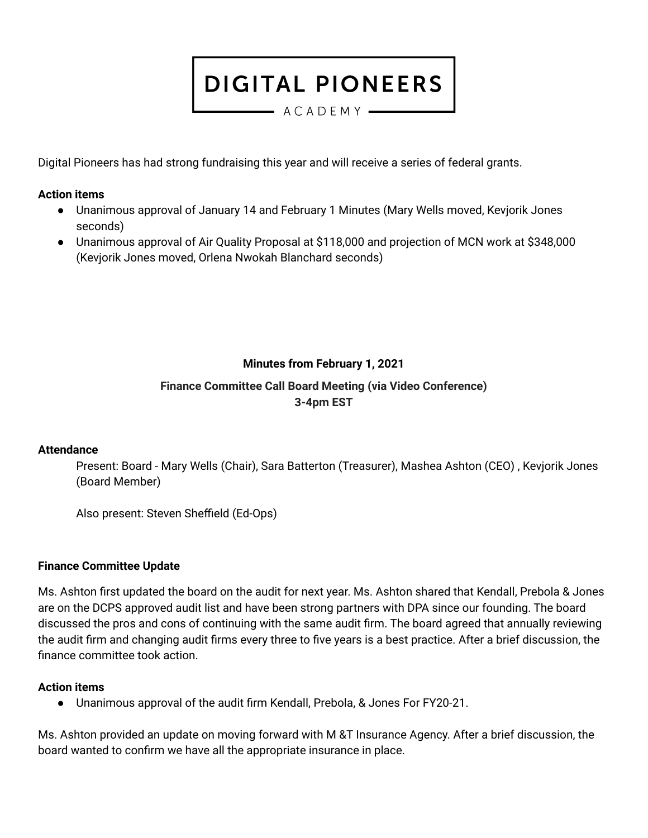- ACADEMY --

Digital Pioneers has had strong fundraising this year and will receive a series of federal grants.

#### **Action items**

- Unanimous approval of January 14 and February 1 Minutes (Mary Wells moved, Kevjorik Jones seconds)
- Unanimous approval of Air Quality Proposal at \$118,000 and projection of MCN work at \$348,000 (Kevjorik Jones moved, Orlena Nwokah Blanchard seconds)

## **Minutes from February 1, 2021**

## **Finance Committee Call Board Meeting (via Video Conference) 3-4pm EST**

### **Attendance**

Present: Board - Mary Wells (Chair), Sara Batterton (Treasurer), Mashea Ashton (CEO) , Kevjorik Jones (Board Member)

Also present: Steven Sheffield (Ed-Ops)

#### **Finance Committee Update**

Ms. Ashton first updated the board on the audit for next year. Ms. Ashton shared that Kendall, Prebola & Jones are on the DCPS approved audit list and have been strong partners with DPA since our founding. The board discussed the pros and cons of continuing with the same audit firm. The board agreed that annually reviewing the audit firm and changing audit firms every three to five years is a best practice. After a brief discussion, the finance committee took action.

#### **Action items**

● Unanimous approval of the audit firm Kendall, Prebola, & Jones For FY20-21.

Ms. Ashton provided an update on moving forward with M &T Insurance Agency. After a brief discussion, the board wanted to confirm we have all the appropriate insurance in place.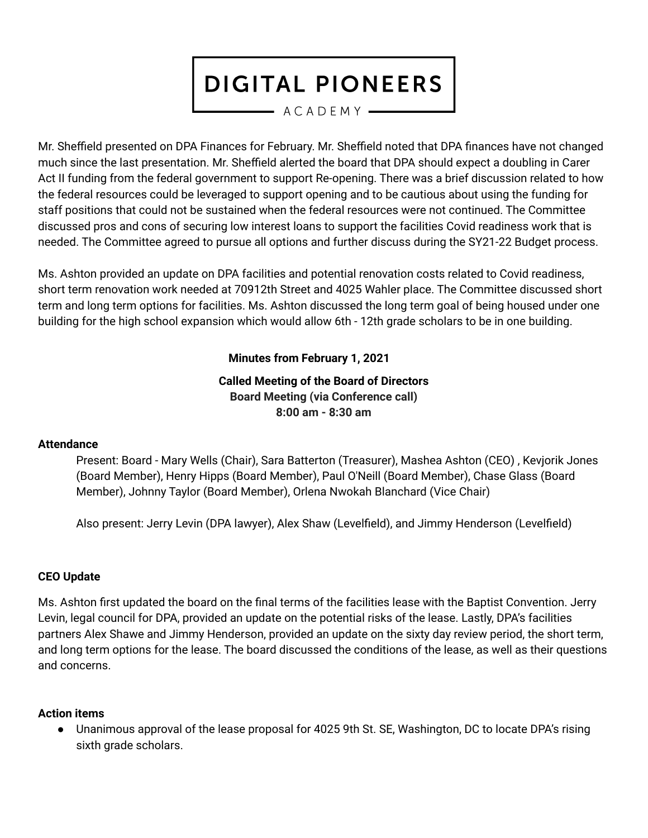- ACADEMY -

Mr. Sheffield presented on DPA Finances for February. Mr. Sheffield noted that DPA finances have not changed much since the last presentation. Mr. Sheffield alerted the board that DPA should expect a doubling in Carer Act II funding from the federal government to support Re-opening. There was a brief discussion related to how the federal resources could be leveraged to support opening and to be cautious about using the funding for staff positions that could not be sustained when the federal resources were not continued. The Committee discussed pros and cons of securing low interest loans to support the facilities Covid readiness work that is needed. The Committee agreed to pursue all options and further discuss during the SY21-22 Budget process.

Ms. Ashton provided an update on DPA facilities and potential renovation costs related to Covid readiness, short term renovation work needed at 70912th Street and 4025 Wahler place. The Committee discussed short term and long term options for facilities. Ms. Ashton discussed the long term goal of being housed under one building for the high school expansion which would allow 6th - 12th grade scholars to be in one building.

## **Minutes from February 1, 2021**

### **Called Meeting of the Board of Directors Board Meeting (via Conference call) 8:00 am - 8:30 am**

### **Attendance**

Present: Board - Mary Wells (Chair), Sara Batterton (Treasurer), Mashea Ashton (CEO) , Kevjorik Jones (Board Member), Henry Hipps (Board Member), Paul O'Neill (Board Member), Chase Glass (Board Member), Johnny Taylor (Board Member), Orlena Nwokah Blanchard (Vice Chair)

Also present: Jerry Levin (DPA lawyer), Alex Shaw (Levelfield), and Jimmy Henderson (Levelfield)

### **CEO Update**

Ms. Ashton first updated the board on the final terms of the facilities lease with the Baptist Convention. Jerry Levin, legal council for DPA, provided an update on the potential risks of the lease. Lastly, DPA's facilities partners Alex Shawe and Jimmy Henderson, provided an update on the sixty day review period, the short term, and long term options for the lease. The board discussed the conditions of the lease, as well as their questions and concerns.

### **Action items**

● Unanimous approval of the lease proposal for 4025 9th St. SE, Washington, DC to locate DPA's rising sixth grade scholars.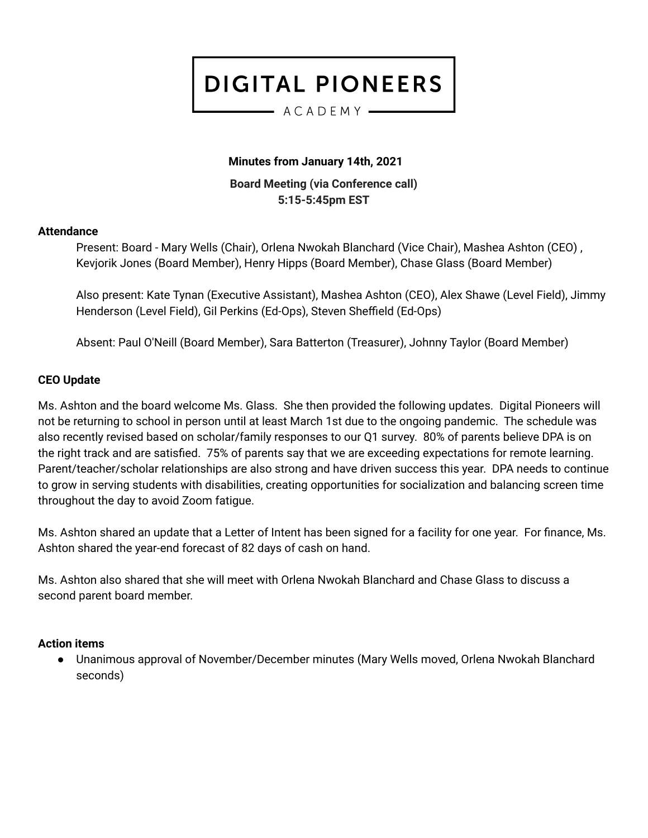#### $-$  ACADEMY  $-$

### **Minutes from January 14th, 2021**

**Board Meeting (via Conference call) 5:15-5:45pm EST**

#### **Attendance**

Present: Board - Mary Wells (Chair), Orlena Nwokah Blanchard (Vice Chair), Mashea Ashton (CEO) , Kevjorik Jones (Board Member), Henry Hipps (Board Member), Chase Glass (Board Member)

Also present: Kate Tynan (Executive Assistant), Mashea Ashton (CEO), Alex Shawe (Level Field), Jimmy Henderson (Level Field), Gil Perkins (Ed-Ops), Steven Sheffield (Ed-Ops)

Absent: Paul O'Neill (Board Member), Sara Batterton (Treasurer), Johnny Taylor (Board Member)

#### **CEO Update**

Ms. Ashton and the board welcome Ms. Glass. She then provided the following updates. Digital Pioneers will not be returning to school in person until at least March 1st due to the ongoing pandemic. The schedule was also recently revised based on scholar/family responses to our Q1 survey. 80% of parents believe DPA is on the right track and are satisfied. 75% of parents say that we are exceeding expectations for remote learning. Parent/teacher/scholar relationships are also strong and have driven success this year. DPA needs to continue to grow in serving students with disabilities, creating opportunities for socialization and balancing screen time throughout the day to avoid Zoom fatigue.

Ms. Ashton shared an update that a Letter of Intent has been signed for a facility for one year. For finance, Ms. Ashton shared the year-end forecast of 82 days of cash on hand.

Ms. Ashton also shared that she will meet with Orlena Nwokah Blanchard and Chase Glass to discuss a second parent board member.

#### **Action items**

Unanimous approval of November/December minutes (Mary Wells moved, Orlena Nwokah Blanchard seconds)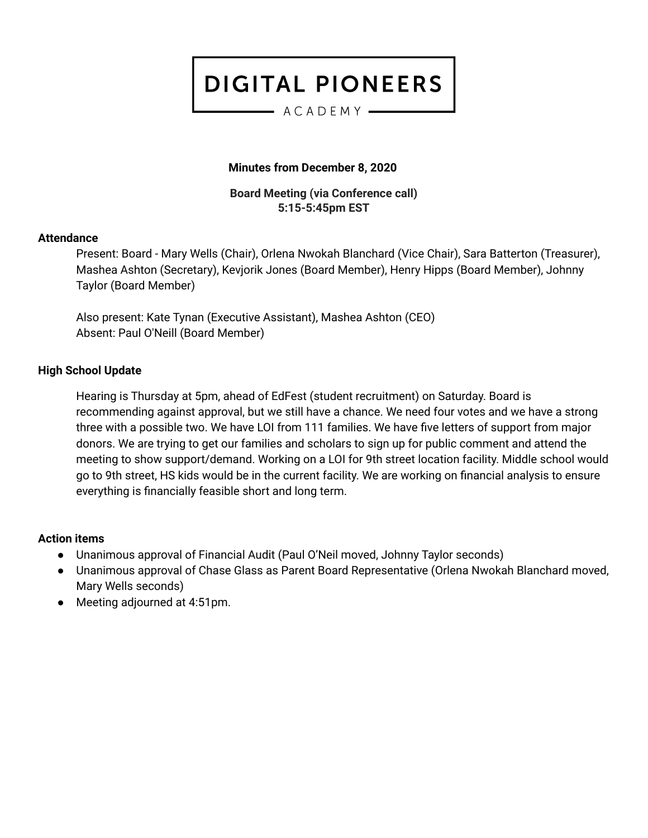#### $-$  ACADEMY  $-$

### **Minutes from December 8, 2020**

**Board Meeting (via Conference call) 5:15-5:45pm EST**

#### **Attendance**

Present: Board - Mary Wells (Chair), Orlena Nwokah Blanchard (Vice Chair), Sara Batterton (Treasurer), Mashea Ashton (Secretary), Kevjorik Jones (Board Member), Henry Hipps (Board Member), Johnny Taylor (Board Member)

Also present: Kate Tynan (Executive Assistant), Mashea Ashton (CEO) Absent: Paul O'Neill (Board Member)

### **High School Update**

Hearing is Thursday at 5pm, ahead of EdFest (student recruitment) on Saturday. Board is recommending against approval, but we still have a chance. We need four votes and we have a strong three with a possible two. We have LOI from 111 families. We have five letters of support from major donors. We are trying to get our families and scholars to sign up for public comment and attend the meeting to show support/demand. Working on a LOI for 9th street location facility. Middle school would go to 9th street, HS kids would be in the current facility. We are working on financial analysis to ensure everything is financially feasible short and long term.

### **Action items**

- Unanimous approval of Financial Audit (Paul O'Neil moved, Johnny Taylor seconds)
- Unanimous approval of Chase Glass as Parent Board Representative (Orlena Nwokah Blanchard moved, Mary Wells seconds)
- Meeting adjourned at 4:51pm.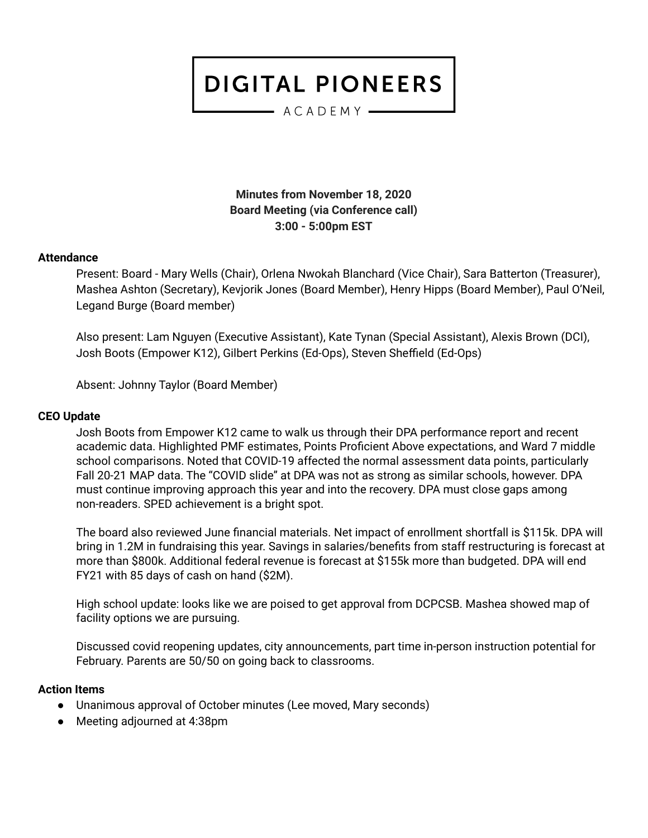$-$  ACADEMY  $-$ 

**Minutes from November 18, 2020 Board Meeting (via Conference call) 3:00 - 5:00pm EST**

#### **Attendance**

Present: Board - Mary Wells (Chair), Orlena Nwokah Blanchard (Vice Chair), Sara Batterton (Treasurer), Mashea Ashton (Secretary), Kevjorik Jones (Board Member), Henry Hipps (Board Member), Paul O'Neil, Legand Burge (Board member)

Also present: Lam Nguyen (Executive Assistant), Kate Tynan (Special Assistant), Alexis Brown (DCI), Josh Boots (Empower K12), Gilbert Perkins (Ed-Ops), Steven Sheffield (Ed-Ops)

Absent: Johnny Taylor (Board Member)

#### **CEO Update**

Josh Boots from Empower K12 came to walk us through their DPA performance report and recent academic data. Highlighted PMF estimates, Points Proficient Above expectations, and Ward 7 middle school comparisons. Noted that COVID-19 affected the normal assessment data points, particularly Fall 20-21 MAP data. The "COVID slide" at DPA was not as strong as similar schools, however. DPA must continue improving approach this year and into the recovery. DPA must close gaps among non-readers. SPED achievement is a bright spot.

The board also reviewed June financial materials. Net impact of enrollment shortfall is \$115k. DPA will bring in 1.2M in fundraising this year. Savings in salaries/benefits from staff restructuring is forecast at more than \$800k. Additional federal revenue is forecast at \$155k more than budgeted. DPA will end FY21 with 85 days of cash on hand (\$2M).

High school update: looks like we are poised to get approval from DCPCSB. Mashea showed map of facility options we are pursuing.

Discussed covid reopening updates, city announcements, part time in-person instruction potential for February. Parents are 50/50 on going back to classrooms.

#### **Action Items**

- Unanimous approval of October minutes (Lee moved, Mary seconds)
- Meeting adjourned at 4:38pm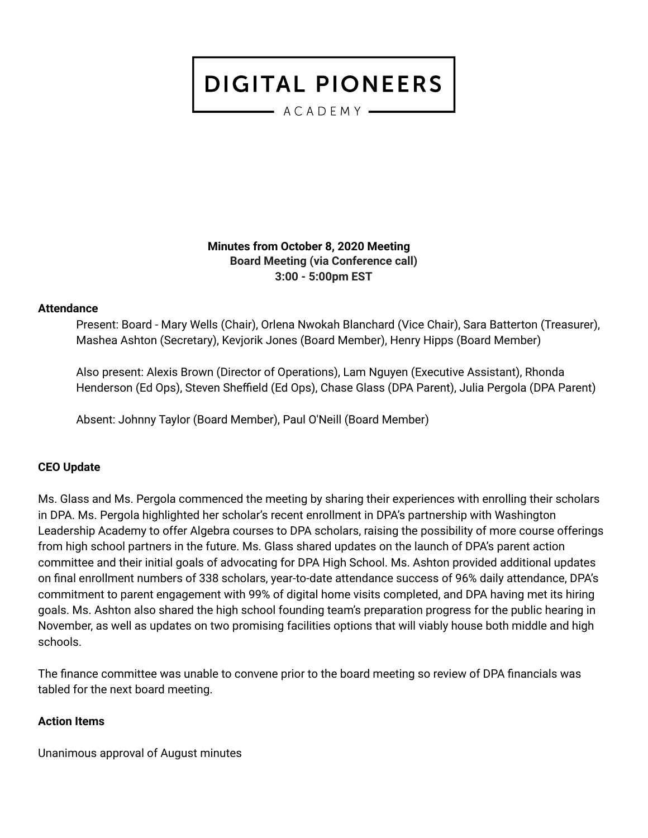- ACADEMY -

**Minutes from October 8, 2020 Meeting Board Meeting (via Conference call) 3:00 - 5:00pm EST**

#### **Attendance**

Present: Board - Mary Wells (Chair), Orlena Nwokah Blanchard (Vice Chair), Sara Batterton (Treasurer), Mashea Ashton (Secretary), Kevjorik Jones (Board Member), Henry Hipps (Board Member)

Also present: Alexis Brown (Director of Operations), Lam Nguyen (Executive Assistant), Rhonda Henderson (Ed Ops), Steven Sheffield (Ed Ops), Chase Glass (DPA Parent), Julia Pergola (DPA Parent)

Absent: Johnny Taylor (Board Member), Paul O'Neill (Board Member)

#### **CEO Update**

Ms. Glass and Ms. Pergola commenced the meeting by sharing their experiences with enrolling their scholars in DPA. Ms. Pergola highlighted her scholar's recent enrollment in DPA's partnership with Washington Leadership Academy to offer Algebra courses to DPA scholars, raising the possibility of more course offerings from high school partners in the future. Ms. Glass shared updates on the launch of DPA's parent action committee and their initial goals of advocating for DPA High School. Ms. Ashton provided additional updates on final enrollment numbers of 338 scholars, year-to-date attendance success of 96% daily attendance, DPA's commitment to parent engagement with 99% of digital home visits completed, and DPA having met its hiring goals. Ms. Ashton also shared the high school founding team's preparation progress for the public hearing in November, as well as updates on two promising facilities options that will viably house both middle and high schools.

The finance committee was unable to convene prior to the board meeting so review of DPA financials was tabled for the next board meeting.

#### **Action Items**

Unanimous approval of August minutes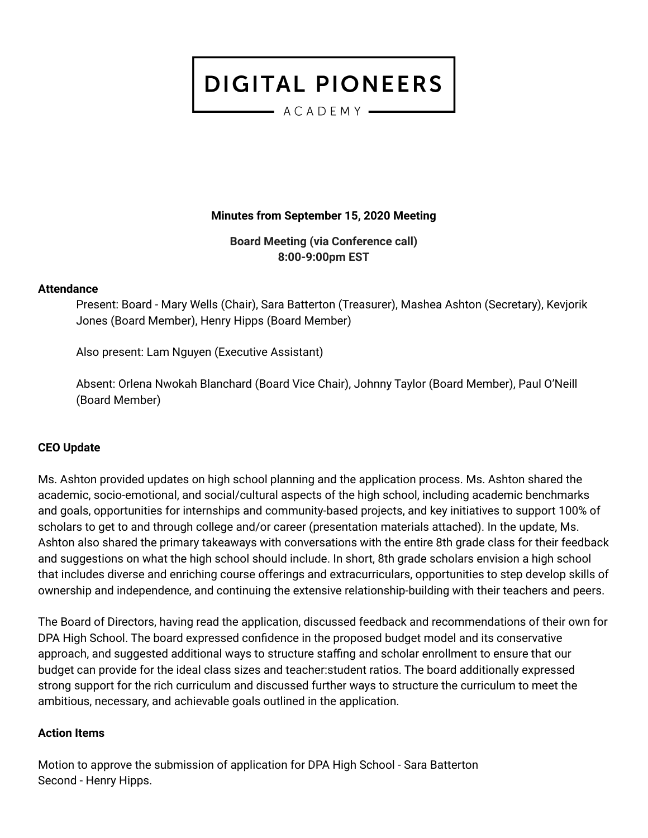— ACADEMY —

**Minutes from September 15, 2020 Meeting**

**Board Meeting (via Conference call) 8:00-9:00pm EST**

#### **Attendance**

Present: Board - Mary Wells (Chair), Sara Batterton (Treasurer), Mashea Ashton (Secretary), Kevjorik Jones (Board Member), Henry Hipps (Board Member)

Also present: Lam Nguyen (Executive Assistant)

Absent: Orlena Nwokah Blanchard (Board Vice Chair), Johnny Taylor (Board Member), Paul O'Neill (Board Member)

### **CEO Update**

Ms. Ashton provided updates on high school planning and the application process. Ms. Ashton shared the academic, socio-emotional, and social/cultural aspects of the high school, including academic benchmarks and goals, opportunities for internships and community-based projects, and key initiatives to support 100% of scholars to get to and through college and/or career (presentation materials attached). In the update, Ms. Ashton also shared the primary takeaways with conversations with the entire 8th grade class for their feedback and suggestions on what the high school should include. In short, 8th grade scholars envision a high school that includes diverse and enriching course offerings and extracurriculars, opportunities to step develop skills of ownership and independence, and continuing the extensive relationship-building with their teachers and peers.

The Board of Directors, having read the application, discussed feedback and recommendations of their own for DPA High School. The board expressed confidence in the proposed budget model and its conservative approach, and suggested additional ways to structure staffing and scholar enrollment to ensure that our budget can provide for the ideal class sizes and teacher:student ratios. The board additionally expressed strong support for the rich curriculum and discussed further ways to structure the curriculum to meet the ambitious, necessary, and achievable goals outlined in the application.

### **Action Items**

Motion to approve the submission of application for DPA High School - Sara Batterton Second - Henry Hipps.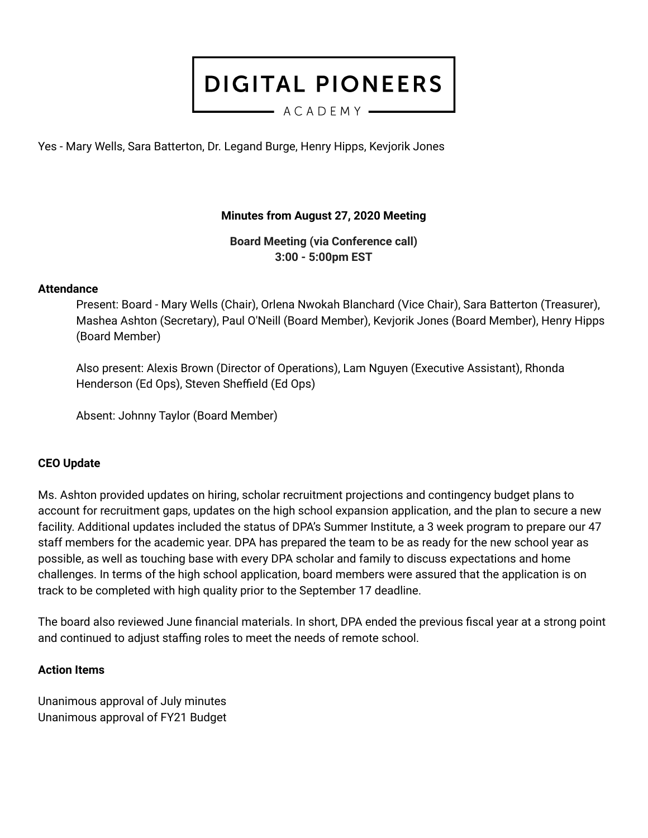$-$  ACADEMY  $-$ 

Yes - Mary Wells, Sara Batterton, Dr. Legand Burge, Henry Hipps, Kevjorik Jones

## **Minutes from August 27, 2020 Meeting**

**Board Meeting (via Conference call) 3:00 - 5:00pm EST**

#### **Attendance**

Present: Board - Mary Wells (Chair), Orlena Nwokah Blanchard (Vice Chair), Sara Batterton (Treasurer), Mashea Ashton (Secretary), Paul O'Neill (Board Member), Kevjorik Jones (Board Member), Henry Hipps (Board Member)

Also present: Alexis Brown (Director of Operations), Lam Nguyen (Executive Assistant), Rhonda Henderson (Ed Ops), Steven Sheffield (Ed Ops)

Absent: Johnny Taylor (Board Member)

#### **CEO Update**

Ms. Ashton provided updates on hiring, scholar recruitment projections and contingency budget plans to account for recruitment gaps, updates on the high school expansion application, and the plan to secure a new facility. Additional updates included the status of DPA's Summer Institute, a 3 week program to prepare our 47 staff members for the academic year. DPA has prepared the team to be as ready for the new school year as possible, as well as touching base with every DPA scholar and family to discuss expectations and home challenges. In terms of the high school application, board members were assured that the application is on track to be completed with high quality prior to the September 17 deadline.

The board also reviewed June financial materials. In short, DPA ended the previous fiscal year at a strong point and continued to adjust staffing roles to meet the needs of remote school.

#### **Action Items**

Unanimous approval of July minutes Unanimous approval of FY21 Budget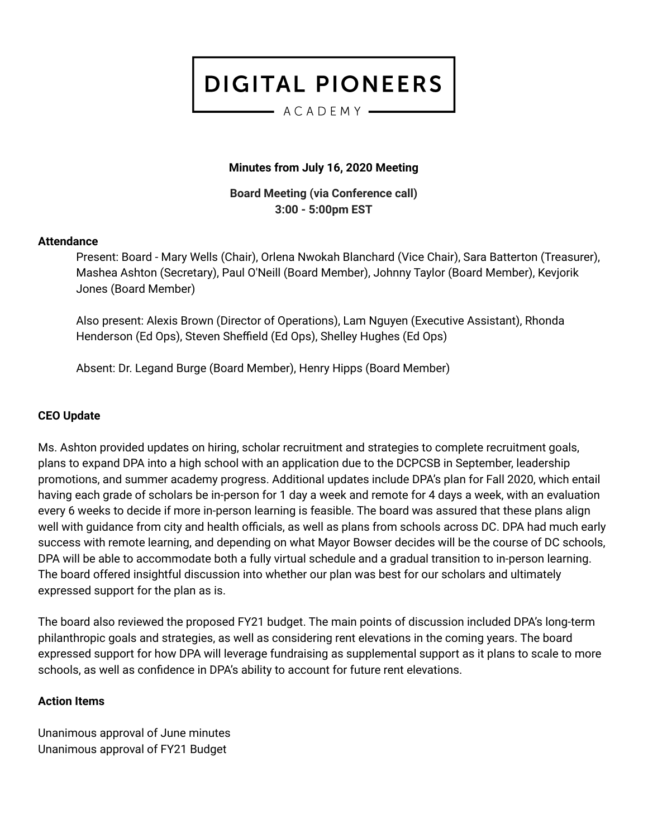#### $-$  ACADEMY  $-$

### **Minutes from July 16, 2020 Meeting**

**Board Meeting (via Conference call) 3:00 - 5:00pm EST**

#### **Attendance**

Present: Board - Mary Wells (Chair), Orlena Nwokah Blanchard (Vice Chair), Sara Batterton (Treasurer), Mashea Ashton (Secretary), Paul O'Neill (Board Member), Johnny Taylor (Board Member), Kevjorik Jones (Board Member)

Also present: Alexis Brown (Director of Operations), Lam Nguyen (Executive Assistant), Rhonda Henderson (Ed Ops), Steven Sheffield (Ed Ops), Shelley Hughes (Ed Ops)

Absent: Dr. Legand Burge (Board Member), Henry Hipps (Board Member)

#### **CEO Update**

Ms. Ashton provided updates on hiring, scholar recruitment and strategies to complete recruitment goals, plans to expand DPA into a high school with an application due to the DCPCSB in September, leadership promotions, and summer academy progress. Additional updates include DPA's plan for Fall 2020, which entail having each grade of scholars be in-person for 1 day a week and remote for 4 days a week, with an evaluation every 6 weeks to decide if more in-person learning is feasible. The board was assured that these plans align well with guidance from city and health officials, as well as plans from schools across DC. DPA had much early success with remote learning, and depending on what Mayor Bowser decides will be the course of DC schools, DPA will be able to accommodate both a fully virtual schedule and a gradual transition to in-person learning. The board offered insightful discussion into whether our plan was best for our scholars and ultimately expressed support for the plan as is.

The board also reviewed the proposed FY21 budget. The main points of discussion included DPA's long-term philanthropic goals and strategies, as well as considering rent elevations in the coming years. The board expressed support for how DPA will leverage fundraising as supplemental support as it plans to scale to more schools, as well as confidence in DPA's ability to account for future rent elevations.

#### **Action Items**

Unanimous approval of June minutes Unanimous approval of FY21 Budget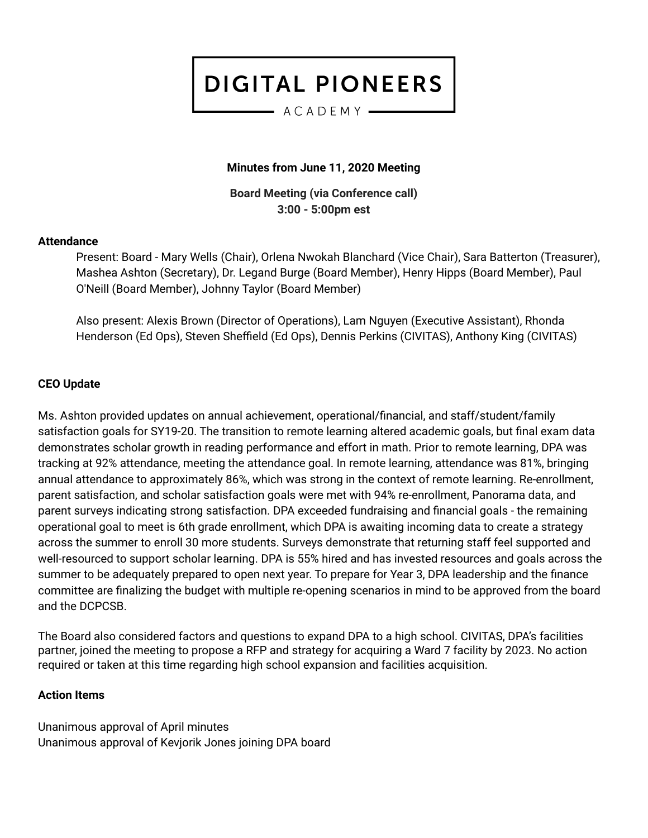$-$  ACADEMY  $-$ 

## **Minutes from June 11, 2020 Meeting**

**Board Meeting (via Conference call) 3:00 - 5:00pm est**

#### **Attendance**

Present: Board - Mary Wells (Chair), Orlena Nwokah Blanchard (Vice Chair), Sara Batterton (Treasurer), Mashea Ashton (Secretary), Dr. Legand Burge (Board Member), Henry Hipps (Board Member), Paul O'Neill (Board Member), Johnny Taylor (Board Member)

Also present: Alexis Brown (Director of Operations), Lam Nguyen (Executive Assistant), Rhonda Henderson (Ed Ops), Steven Sheffield (Ed Ops), Dennis Perkins (CIVITAS), Anthony King (CIVITAS)

### **CEO Update**

Ms. Ashton provided updates on annual achievement, operational/financial, and staff/student/family satisfaction goals for SY19-20. The transition to remote learning altered academic goals, but final exam data demonstrates scholar growth in reading performance and effort in math. Prior to remote learning, DPA was tracking at 92% attendance, meeting the attendance goal. In remote learning, attendance was 81%, bringing annual attendance to approximately 86%, which was strong in the context of remote learning. Re-enrollment, parent satisfaction, and scholar satisfaction goals were met with 94% re-enrollment, Panorama data, and parent surveys indicating strong satisfaction. DPA exceeded fundraising and financial goals - the remaining operational goal to meet is 6th grade enrollment, which DPA is awaiting incoming data to create a strategy across the summer to enroll 30 more students. Surveys demonstrate that returning staff feel supported and well-resourced to support scholar learning. DPA is 55% hired and has invested resources and goals across the summer to be adequately prepared to open next year. To prepare for Year 3, DPA leadership and the finance committee are finalizing the budget with multiple re-opening scenarios in mind to be approved from the board and the DCPCSB.

The Board also considered factors and questions to expand DPA to a high school. CIVITAS, DPA's facilities partner, joined the meeting to propose a RFP and strategy for acquiring a Ward 7 facility by 2023. No action required or taken at this time regarding high school expansion and facilities acquisition.

### **Action Items**

Unanimous approval of April minutes Unanimous approval of Kevjorik Jones joining DPA board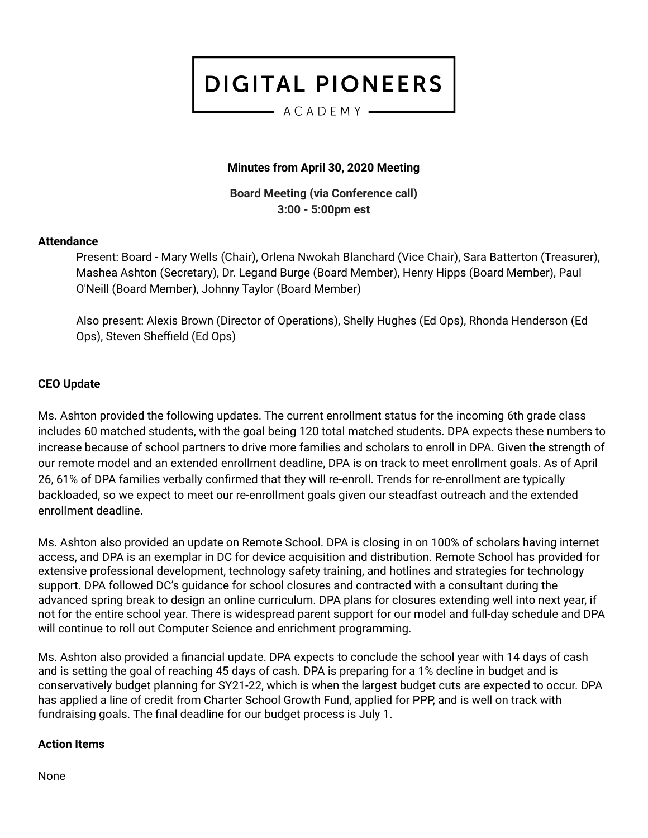#### $-$  ACADEMY  $-$

## **Minutes from April 30, 2020 Meeting**

**Board Meeting (via Conference call) 3:00 - 5:00pm est**

#### **Attendance**

Present: Board - Mary Wells (Chair), Orlena Nwokah Blanchard (Vice Chair), Sara Batterton (Treasurer), Mashea Ashton (Secretary), Dr. Legand Burge (Board Member), Henry Hipps (Board Member), Paul O'Neill (Board Member), Johnny Taylor (Board Member)

Also present: Alexis Brown (Director of Operations), Shelly Hughes (Ed Ops), Rhonda Henderson (Ed Ops), Steven Sheffield (Ed Ops)

### **CEO Update**

Ms. Ashton provided the following updates. The current enrollment status for the incoming 6th grade class includes 60 matched students, with the goal being 120 total matched students. DPA expects these numbers to increase because of school partners to drive more families and scholars to enroll in DPA. Given the strength of our remote model and an extended enrollment deadline, DPA is on track to meet enrollment goals. As of April 26, 61% of DPA families verbally confirmed that they will re-enroll. Trends for re-enrollment are typically backloaded, so we expect to meet our re-enrollment goals given our steadfast outreach and the extended enrollment deadline.

Ms. Ashton also provided an update on Remote School. DPA is closing in on 100% of scholars having internet access, and DPA is an exemplar in DC for device acquisition and distribution. Remote School has provided for extensive professional development, technology safety training, and hotlines and strategies for technology support. DPA followed DC's guidance for school closures and contracted with a consultant during the advanced spring break to design an online curriculum. DPA plans for closures extending well into next year, if not for the entire school year. There is widespread parent support for our model and full-day schedule and DPA will continue to roll out Computer Science and enrichment programming.

Ms. Ashton also provided a financial update. DPA expects to conclude the school year with 14 days of cash and is setting the goal of reaching 45 days of cash. DPA is preparing for a 1% decline in budget and is conservatively budget planning for SY21-22, which is when the largest budget cuts are expected to occur. DPA has applied a line of credit from Charter School Growth Fund, applied for PPP, and is well on track with fundraising goals. The final deadline for our budget process is July 1.

#### **Action Items**

None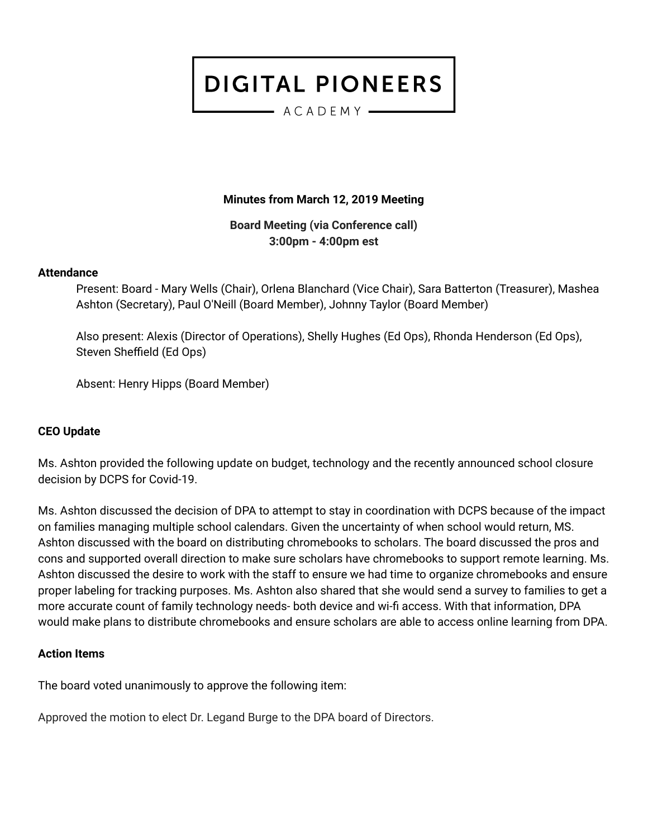$-$  ACADEMY  $-$ 

### **Minutes from March 12, 2019 Meeting**

**Board Meeting (via Conference call) 3:00pm - 4:00pm est**

#### **Attendance**

Present: Board - Mary Wells (Chair), Orlena Blanchard (Vice Chair), Sara Batterton (Treasurer), Mashea Ashton (Secretary), Paul O'Neill (Board Member), Johnny Taylor (Board Member)

Also present: Alexis (Director of Operations), Shelly Hughes (Ed Ops), Rhonda Henderson (Ed Ops), Steven Sheffield (Ed Ops)

Absent: Henry Hipps (Board Member)

#### **CEO Update**

Ms. Ashton provided the following update on budget, technology and the recently announced school closure decision by DCPS for Covid-19.

Ms. Ashton discussed the decision of DPA to attempt to stay in coordination with DCPS because of the impact on families managing multiple school calendars. Given the uncertainty of when school would return, MS. Ashton discussed with the board on distributing chromebooks to scholars. The board discussed the pros and cons and supported overall direction to make sure scholars have chromebooks to support remote learning. Ms. Ashton discussed the desire to work with the staff to ensure we had time to organize chromebooks and ensure proper labeling for tracking purposes. Ms. Ashton also shared that she would send a survey to families to get a more accurate count of family technology needs- both device and wi-fi access. With that information, DPA would make plans to distribute chromebooks and ensure scholars are able to access online learning from DPA.

#### **Action Items**

The board voted unanimously to approve the following item:

Approved the motion to elect Dr. Legand Burge to the DPA board of Directors.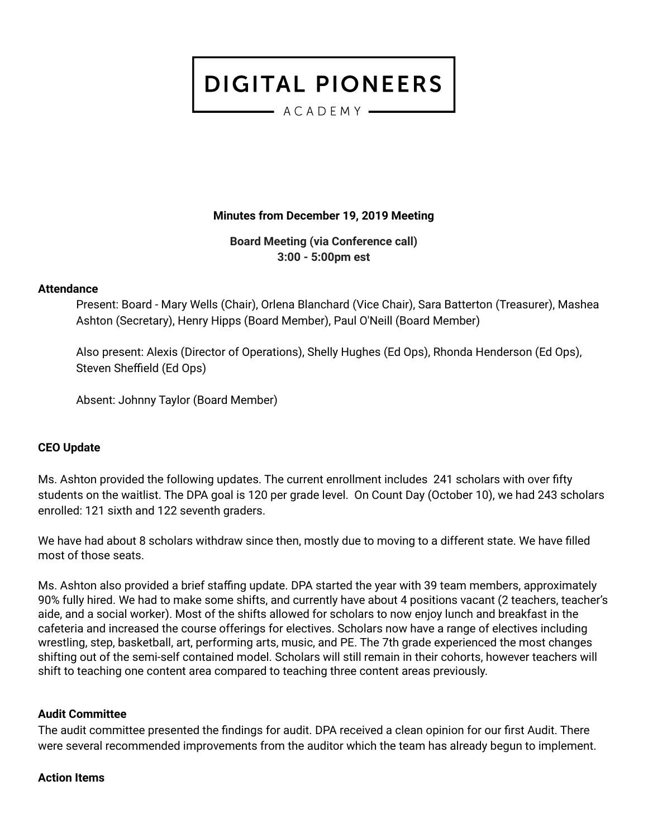- ACADEMY -

#### **Minutes from December 19, 2019 Meeting**

**Board Meeting (via Conference call) 3:00 - 5:00pm est**

#### **Attendance**

Present: Board - Mary Wells (Chair), Orlena Blanchard (Vice Chair), Sara Batterton (Treasurer), Mashea Ashton (Secretary), Henry Hipps (Board Member), Paul O'Neill (Board Member)

Also present: Alexis (Director of Operations), Shelly Hughes (Ed Ops), Rhonda Henderson (Ed Ops), Steven Sheffield (Ed Ops)

Absent: Johnny Taylor (Board Member)

#### **CEO Update**

Ms. Ashton provided the following updates. The current enrollment includes 241 scholars with over fifty students on the waitlist. The DPA goal is 120 per grade level. On Count Day (October 10), we had 243 scholars enrolled: 121 sixth and 122 seventh graders.

We have had about 8 scholars withdraw since then, mostly due to moving to a different state. We have filled most of those seats.

Ms. Ashton also provided a brief staffing update. DPA started the year with 39 team members, approximately 90% fully hired. We had to make some shifts, and currently have about 4 positions vacant (2 teachers, teacher's aide, and a social worker). Most of the shifts allowed for scholars to now enjoy lunch and breakfast in the cafeteria and increased the course offerings for electives. Scholars now have a range of electives including wrestling, step, basketball, art, performing arts, music, and PE. The 7th grade experienced the most changes shifting out of the semi-self contained model. Scholars will still remain in their cohorts, however teachers will shift to teaching one content area compared to teaching three content areas previously.

#### **Audit Committee**

The audit committee presented the findings for audit. DPA received a clean opinion for our first Audit. There were several recommended improvements from the auditor which the team has already begun to implement.

#### **Action Items**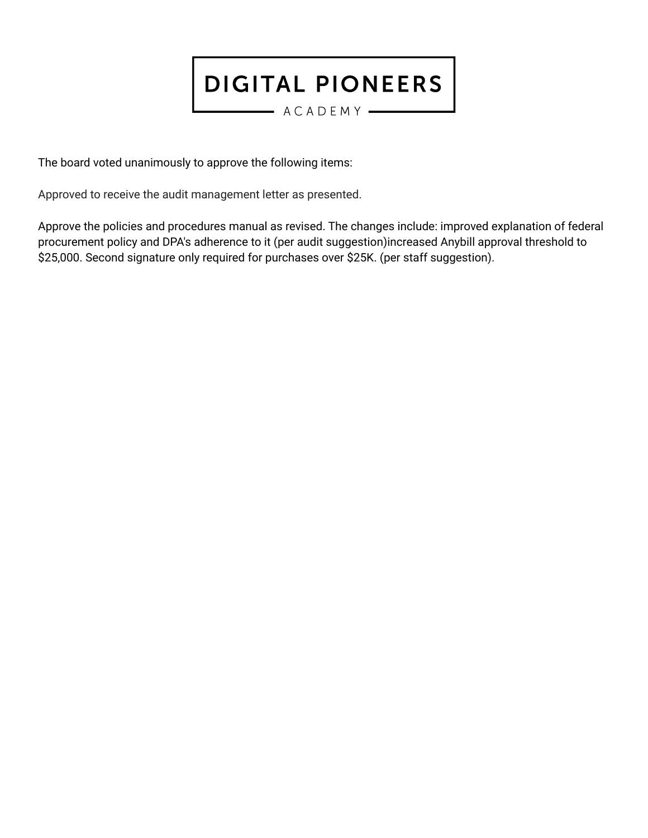$-$  ACADEMY  $-$ 

The board voted unanimously to approve the following items:

Approved to receive the audit management letter as presented.

Approve the policies and procedures manual as revised. The changes include: improved explanation of federal procurement policy and DPA's adherence to it (per audit suggestion)increased Anybill approval threshold to \$25,000. Second signature only required for purchases over \$25K. (per staff suggestion).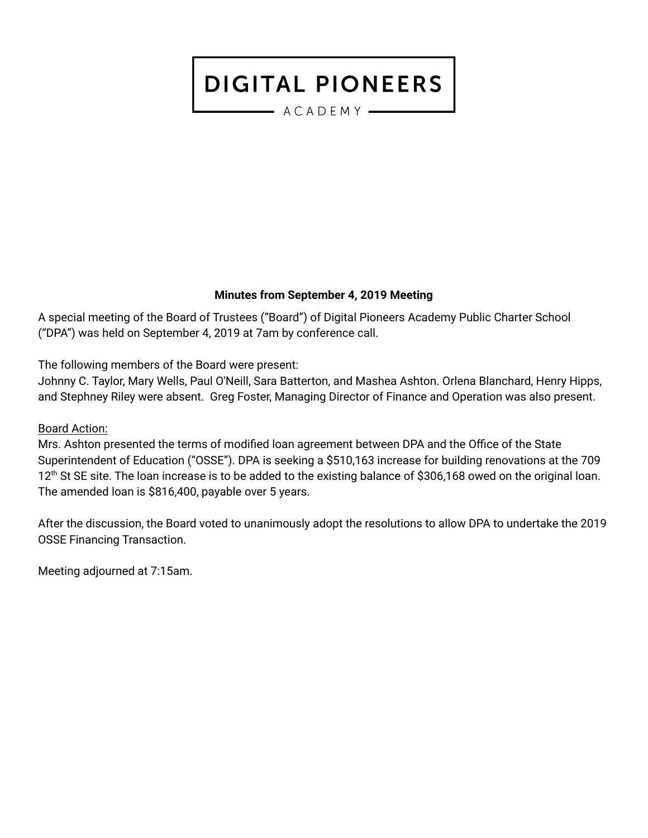- ACADEMY -

### **Minutes from September 4, 2019 Meeting**

A special meeting of the Board of Trustees ("Board") of Digital Pioneers Academy Public Charter School ("DPA") was held on September 4, 2019 at 7am by conference call.

The following members of the Board were present:

Johnny C. Taylor, Mary Wells, Paul O'Neill, Sara Batterton, and Mashea Ashton. Orlena Blanchard, Henry Hipps, and Stephney Riley were absent. Greg Foster, Managing Director of Finance and Operation was also present.

### Board Action:

Mrs. Ashton presented the terms of modified loan agreement between DPA and the Office of the State Superintendent of Education ("OSSE"). DPA is seeking a \$510,163 increase for building renovations at the 709 12<sup>th</sup> St SE site. The loan increase is to be added to the existing balance of \$306,168 owed on the original loan. The amended loan is \$816,400, payable over 5 years.

After the discussion, the Board voted to unanimously adopt the resolutions to allow DPA to undertake the 2019 OSSE Financing Transaction.

Meeting adjourned at 7:15am.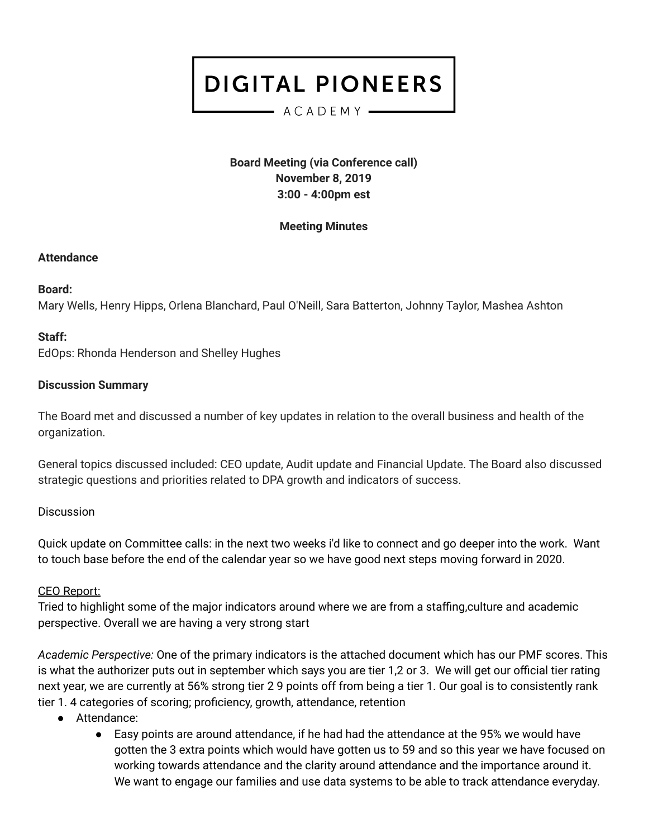#### $-$  ACADEMY  $-$

**Board Meeting (via Conference call) November 8, 2019 3:00 - 4:00pm est**

### **Meeting Minutes**

#### **Attendance**

### **Board:**

Mary Wells, Henry Hipps, Orlena Blanchard, Paul O'Neill, Sara Batterton, Johnny Taylor, Mashea Ashton

### **Staff:**

EdOps: Rhonda Henderson and Shelley Hughes

### **Discussion Summary**

The Board met and discussed a number of key updates in relation to the overall business and health of the organization.

General topics discussed included: CEO update, Audit update and Financial Update. The Board also discussed strategic questions and priorities related to DPA growth and indicators of success.

### **Discussion**

Quick update on Committee calls: in the next two weeks i'd like to connect and go deeper into the work. Want to touch base before the end of the calendar year so we have good next steps moving forward in 2020.

### CEO Report:

Tried to highlight some of the major indicators around where we are from a staffing,culture and academic perspective. Overall we are having a very strong start

*Academic Perspective:* One of the primary indicators is the attached document which has our PMF scores. This is what the authorizer puts out in september which says you are tier 1,2 or 3. We will get our official tier rating next year, we are currently at 56% strong tier 2 9 points off from being a tier 1. Our goal is to consistently rank tier 1. 4 categories of scoring; proficiency, growth, attendance, retention

- Attendance:
	- Easy points are around attendance, if he had had the attendance at the 95% we would have gotten the 3 extra points which would have gotten us to 59 and so this year we have focused on working towards attendance and the clarity around attendance and the importance around it. We want to engage our families and use data systems to be able to track attendance everyday.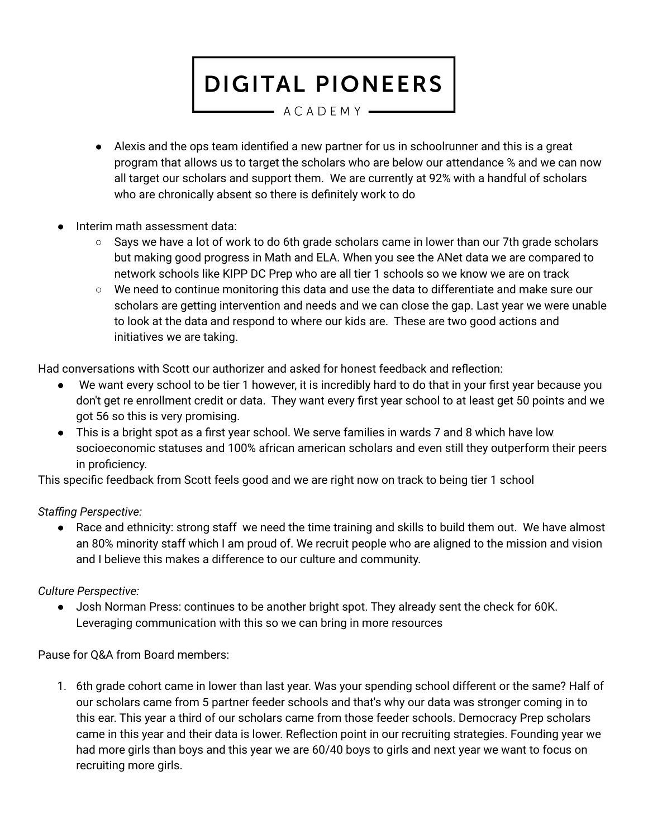$-$  ACADEMY  $-$ 

- Alexis and the ops team identified a new partner for us in schoolrunner and this is a great program that allows us to target the scholars who are below our attendance % and we can now all target our scholars and support them. We are currently at 92% with a handful of scholars who are chronically absent so there is definitely work to do
- Interim math assessment data:
	- $\circ$  Says we have a lot of work to do 6th grade scholars came in lower than our 7th grade scholars but making good progress in Math and ELA. When you see the ANet data we are compared to network schools like KIPP DC Prep who are all tier 1 schools so we know we are on track
	- We need to continue monitoring this data and use the data to differentiate and make sure our scholars are getting intervention and needs and we can close the gap. Last year we were unable to look at the data and respond to where our kids are. These are two good actions and initiatives we are taking.

Had conversations with Scott our authorizer and asked for honest feedback and reflection:

- We want every school to be tier 1 however, it is incredibly hard to do that in your first year because you don't get re enrollment credit or data. They want every first year school to at least get 50 points and we got 56 so this is very promising.
- This is a bright spot as a first year school. We serve families in wards 7 and 8 which have low socioeconomic statuses and 100% african american scholars and even still they outperform their peers in proficiency.

This specific feedback from Scott feels good and we are right now on track to being tier 1 school

## *Staffing Perspective:*

Race and ethnicity: strong staff we need the time training and skills to build them out. We have almost an 80% minority staff which I am proud of. We recruit people who are aligned to the mission and vision and I believe this makes a difference to our culture and community.

### *Culture Perspective:*

● Josh Norman Press: continues to be another bright spot. They already sent the check for 60K. Leveraging communication with this so we can bring in more resources

Pause for Q&A from Board members:

1. 6th grade cohort came in lower than last year. Was your spending school different or the same? Half of our scholars came from 5 partner feeder schools and that's why our data was stronger coming in to this ear. This year a third of our scholars came from those feeder schools. Democracy Prep scholars came in this year and their data is lower. Reflection point in our recruiting strategies. Founding year we had more girls than boys and this year we are 60/40 boys to girls and next year we want to focus on recruiting more girls.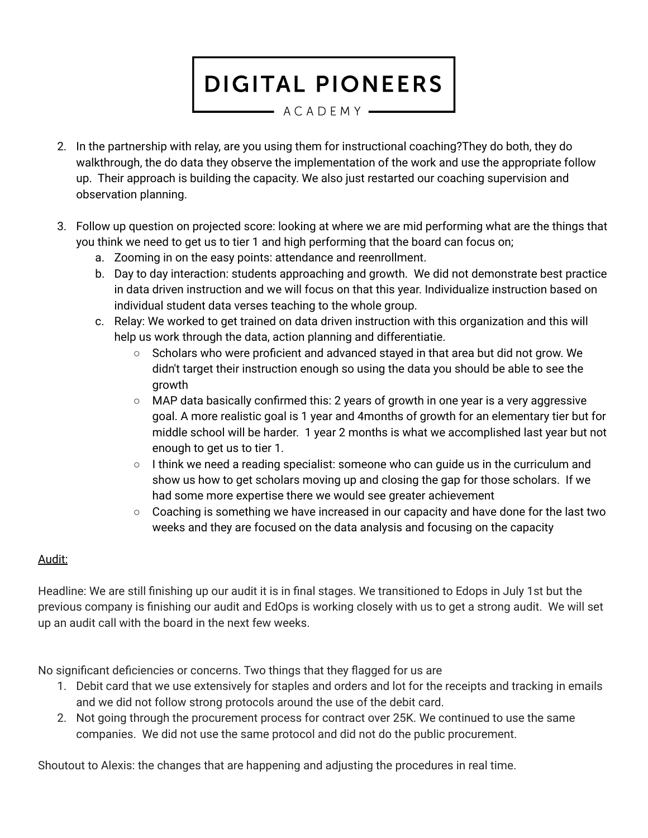$-$  ACADEMY  $-$ 

- 2. In the partnership with relay, are you using them for instructional coaching?They do both, they do walkthrough, the do data they observe the implementation of the work and use the appropriate follow up. Their approach is building the capacity. We also just restarted our coaching supervision and observation planning.
- 3. Follow up question on projected score: looking at where we are mid performing what are the things that you think we need to get us to tier 1 and high performing that the board can focus on;
	- a. Zooming in on the easy points: attendance and reenrollment.
	- b. Day to day interaction: students approaching and growth. We did not demonstrate best practice in data driven instruction and we will focus on that this year. Individualize instruction based on individual student data verses teaching to the whole group.
	- c. Relay: We worked to get trained on data driven instruction with this organization and this will help us work through the data, action planning and differentiatie.
		- $\circ$  Scholars who were proficient and advanced stayed in that area but did not grow. We didn't target their instruction enough so using the data you should be able to see the growth
		- MAP data basically confirmed this: 2 years of growth in one year is a very aggressive goal. A more realistic goal is 1 year and 4months of growth for an elementary tier but for middle school will be harder. 1 year 2 months is what we accomplished last year but not enough to get us to tier 1.
		- I think we need a reading specialist: someone who can guide us in the curriculum and show us how to get scholars moving up and closing the gap for those scholars. If we had some more expertise there we would see greater achievement
		- Coaching is something we have increased in our capacity and have done for the last two weeks and they are focused on the data analysis and focusing on the capacity

## Audit:

Headline: We are still finishing up our audit it is in final stages. We transitioned to Edops in July 1st but the previous company is finishing our audit and EdOps is working closely with us to get a strong audit. We will set up an audit call with the board in the next few weeks.

No significant deficiencies or concerns. Two things that they flagged for us are

- 1. Debit card that we use extensively for staples and orders and lot for the receipts and tracking in emails and we did not follow strong protocols around the use of the debit card.
- 2. Not going through the procurement process for contract over 25K. We continued to use the same companies. We did not use the same protocol and did not do the public procurement.

Shoutout to Alexis: the changes that are happening and adjusting the procedures in real time.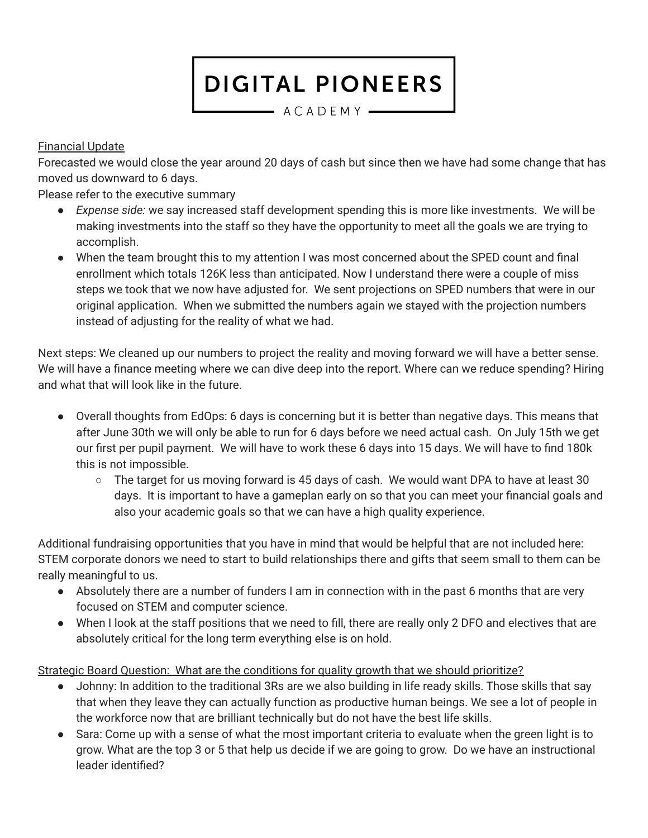- ACADEMY -

## Financial Update

Forecasted we would close the year around 20 days of cash but since then we have had some change that has moved us downward to 6 days.

Please refer to the executive summary

- *Expense side:* we say increased staff development spending this is more like investments. We will be making investments into the staff so they have the opportunity to meet all the goals we are trying to accomplish.
- When the team brought this to my attention I was most concerned about the SPED count and final enrollment which totals 126K less than anticipated. Now I understand there were a couple of miss steps we took that we now have adjusted for. We sent projections on SPED numbers that were in our original application. When we submitted the numbers again we stayed with the projection numbers instead of adjusting for the reality of what we had.

Next steps: We cleaned up our numbers to project the reality and moving forward we will have a better sense. We will have a finance meeting where we can dive deep into the report. Where can we reduce spending? Hiring and what that will look like in the future.

- Overall thoughts from EdOps: 6 days is concerning but it is better than negative days. This means that after June 30th we will only be able to run for 6 days before we need actual cash. On July 15th we get our first per pupil payment. We will have to work these 6 days into 15 days. We will have to find 180k this is not impossible.
	- $\circ$  The target for us moving forward is 45 days of cash. We would want DPA to have at least 30 days. It is important to have a gameplan early on so that you can meet your financial goals and also your academic goals so that we can have a high quality experience.

Additional fundraising opportunities that you have in mind that would be helpful that are not included here: STEM corporate donors we need to start to build relationships there and gifts that seem small to them can be really meaningful to us.

- Absolutely there are a number of funders I am in connection with in the past 6 months that are very focused on STEM and computer science.
- When I look at the staff positions that we need to fill, there are really only 2 DFO and electives that are absolutely critical for the long term everything else is on hold.

Strategic Board Question: What are the conditions for quality growth that we should prioritize?

- Johnny: In addition to the traditional 3Rs are we also building in life ready skills. Those skills that say that when they leave they can actually function as productive human beings. We see a lot of people in the workforce now that are brilliant technically but do not have the best life skills.
- Sara: Come up with a sense of what the most important criteria to evaluate when the green light is to grow. What are the top 3 or 5 that help us decide if we are going to grow. Do we have an instructional leader identified?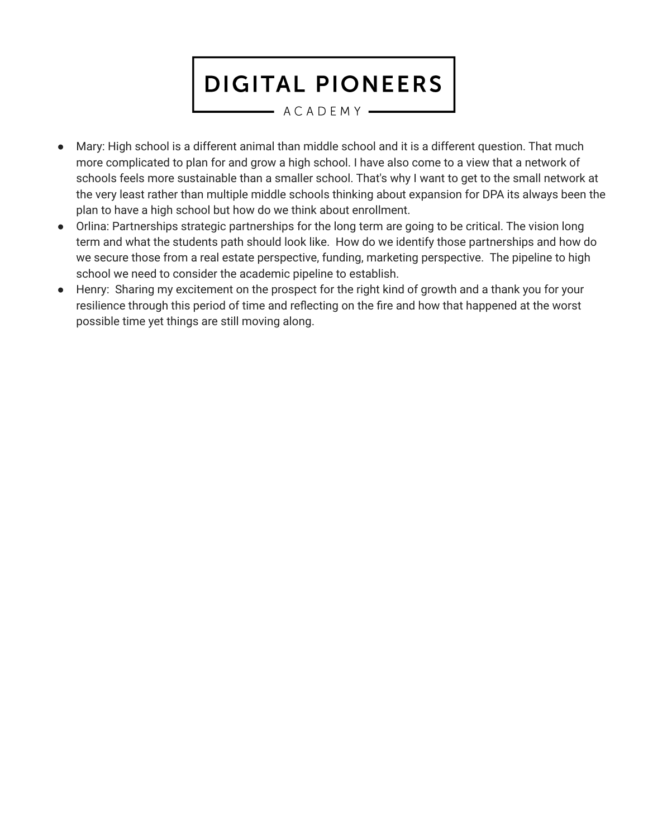$-$  ACADEMY  $-$ 

- Mary: High school is a different animal than middle school and it is a different question. That much more complicated to plan for and grow a high school. I have also come to a view that a network of schools feels more sustainable than a smaller school. That's why I want to get to the small network at the very least rather than multiple middle schools thinking about expansion for DPA its always been the plan to have a high school but how do we think about enrollment.
- Orlina: Partnerships strategic partnerships for the long term are going to be critical. The vision long term and what the students path should look like. How do we identify those partnerships and how do we secure those from a real estate perspective, funding, marketing perspective. The pipeline to high school we need to consider the academic pipeline to establish.
- Henry: Sharing my excitement on the prospect for the right kind of growth and a thank you for your resilience through this period of time and reflecting on the fire and how that happened at the worst possible time yet things are still moving along.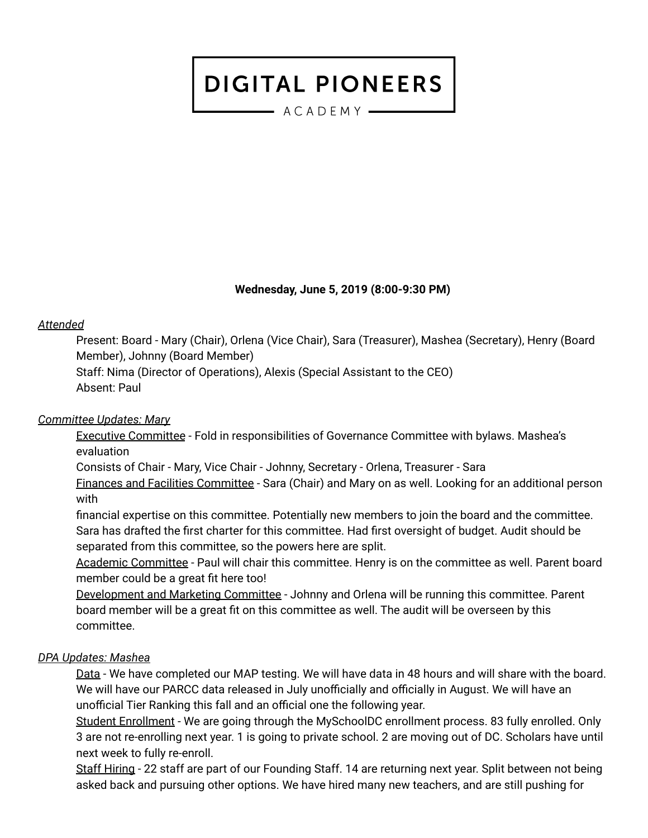$-$  ACADEMY  $-$ 

#### **Wednesday, June 5, 2019 (8:00-9:30 PM)**

#### *Attended*

Present: Board - Mary (Chair), Orlena (Vice Chair), Sara (Treasurer), Mashea (Secretary), Henry (Board Member), Johnny (Board Member)

Staff: Nima (Director of Operations), Alexis (Special Assistant to the CEO) Absent: Paul

#### *Committee Updates: Mary*

Executive Committee - Fold in responsibilities of Governance Committee with bylaws. Mashea's evaluation

Consists of Chair - Mary, Vice Chair - Johnny, Secretary - Orlena, Treasurer - Sara

Finances and Facilities Committee - Sara (Chair) and Mary on as well. Looking for an additional person with

financial expertise on this committee. Potentially new members to join the board and the committee. Sara has drafted the first charter for this committee. Had first oversight of budget. Audit should be separated from this committee, so the powers here are split.

Academic Committee - Paul will chair this committee. Henry is on the committee as well. Parent board member could be a great fit here too!

Development and Marketing Committee - Johnny and Orlena will be running this committee. Parent board member will be a great fit on this committee as well. The audit will be overseen by this committee.

#### *DPA Updates: Mashea*

Data - We have completed our MAP testing. We will have data in 48 hours and will share with the board. We will have our PARCC data released in July unofficially and officially in August. We will have an unofficial Tier Ranking this fall and an official one the following year.

Student Enrollment - We are going through the MySchoolDC enrollment process. 83 fully enrolled. Only 3 are not re-enrolling next year. 1 is going to private school. 2 are moving out of DC. Scholars have until next week to fully re-enroll.

Staff Hiring - 22 staff are part of our Founding Staff. 14 are returning next year. Split between not being asked back and pursuing other options. We have hired many new teachers, and are still pushing for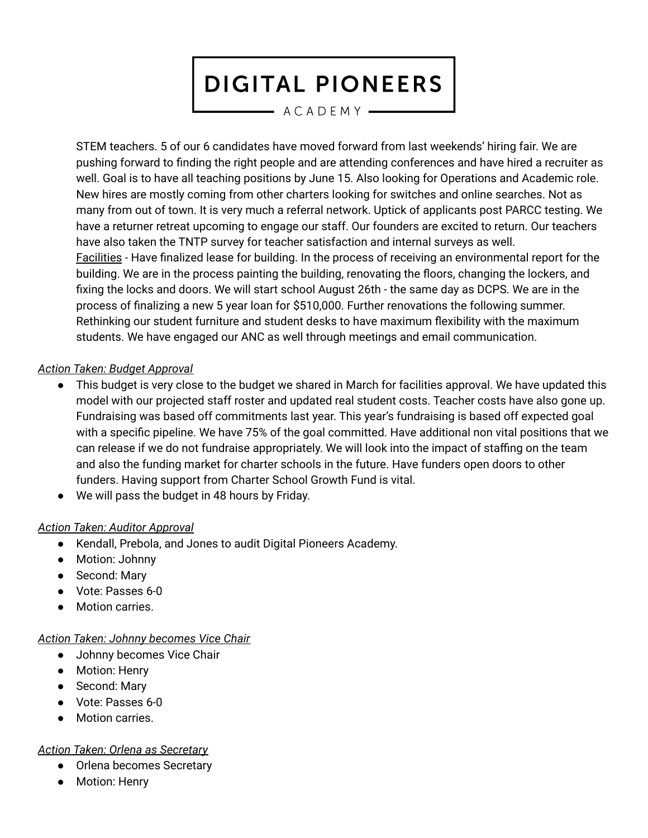$-$  ACADEMY  $-$ 

STEM teachers. 5 of our 6 candidates have moved forward from last weekends' hiring fair. We are pushing forward to finding the right people and are attending conferences and have hired a recruiter as well. Goal is to have all teaching positions by June 15. Also looking for Operations and Academic role. New hires are mostly coming from other charters looking for switches and online searches. Not as many from out of town. It is very much a referral network. Uptick of applicants post PARCC testing. We have a returner retreat upcoming to engage our staff. Our founders are excited to return. Our teachers have also taken the TNTP survey for teacher satisfaction and internal surveys as well. Facilities - Have finalized lease for building. In the process of receiving an environmental report for the building. We are in the process painting the building, renovating the floors, changing the lockers, and fixing the locks and doors. We will start school August 26th - the same day as DCPS. We are in the process of finalizing a new 5 year loan for \$510,000. Further renovations the following summer. Rethinking our student furniture and student desks to have maximum flexibility with the maximum students. We have engaged our ANC as well through meetings and email communication.

### *Action Taken: Budget Approval*

- This budget is very close to the budget we shared in March for facilities approval. We have updated this model with our projected staff roster and updated real student costs. Teacher costs have also gone up. Fundraising was based off commitments last year. This year's fundraising is based off expected goal with a specific pipeline. We have 75% of the goal committed. Have additional non vital positions that we can release if we do not fundraise appropriately. We will look into the impact of staffing on the team and also the funding market for charter schools in the future. Have funders open doors to other funders. Having support from Charter School Growth Fund is vital.
- We will pass the budget in 48 hours by Friday.

### *Action Taken: Auditor Approval*

- Kendall, Prebola, and Jones to audit Digital Pioneers Academy.
- Motion: Johnny
- Second: Mary
- Vote: Passes 6-0
- Motion carries.

#### *Action Taken: Johnny becomes Vice Chair*

- Johnny becomes Vice Chair
- Motion: Henry
- Second: Mary
- Vote: Passes 6-0
- **Motion carries.**

#### *Action Taken: Orlena as Secretary*

- Orlena becomes Secretary
- Motion: Henry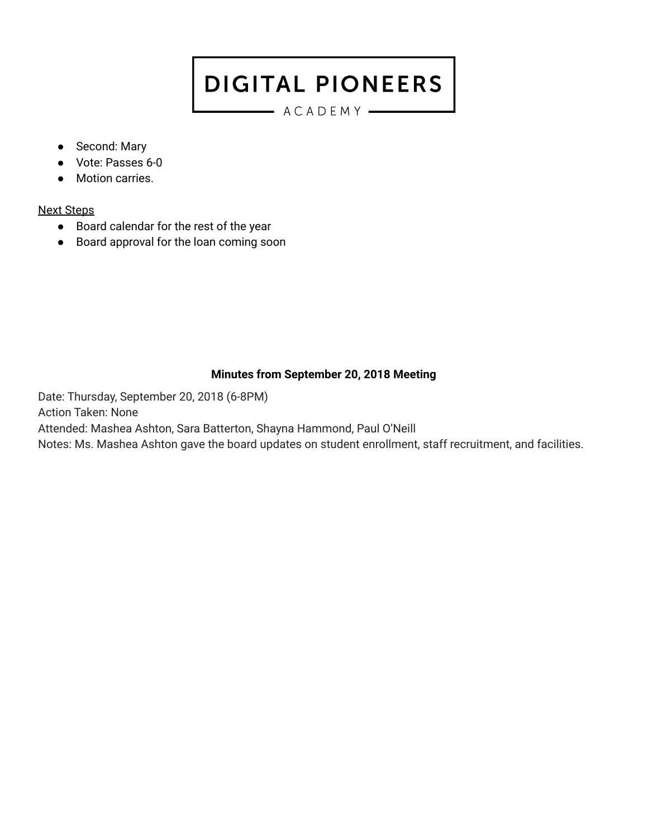ACADEMY

- Second: Mary
- Vote: Passes 6-0
- Motion carries.

## Next Steps

- Board calendar for the rest of the year
- Board approval for the loan coming soon

## **Minutes from September 20, 2018 Meeting**

Date: Thursday, September 20, 2018 (6-8PM) Action Taken: None Attended: Mashea Ashton, Sara Batterton, Shayna Hammond, Paul O'Neill Notes: Ms. Mashea Ashton gave the board updates on student enrollment, staff recruitment, and facilities.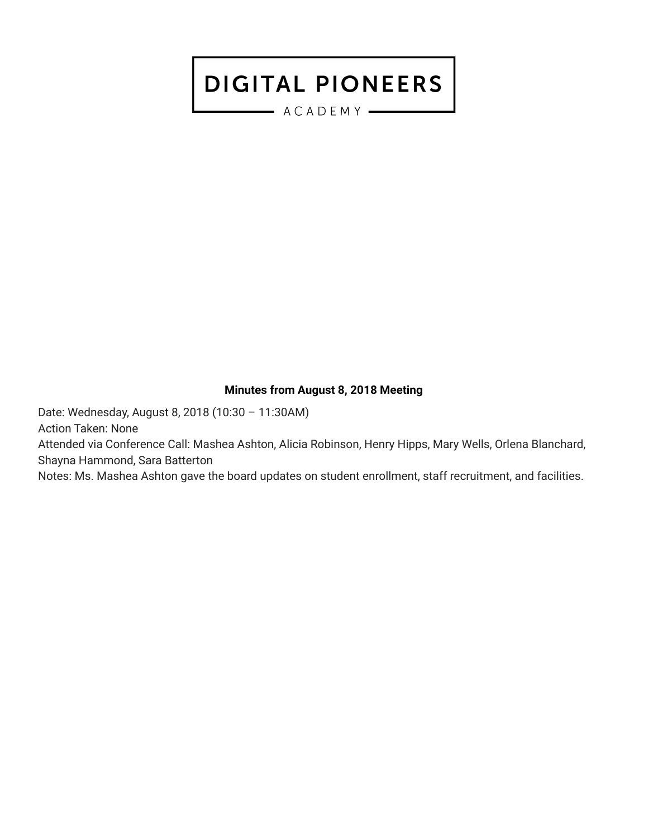$-$  ACADEMY  $-$ 

#### **Minutes from August 8, 2018 Meeting**

Date: Wednesday, August 8, 2018 (10:30 – 11:30AM) Action Taken: None Attended via Conference Call: Mashea Ashton, Alicia Robinson, Henry Hipps, Mary Wells, Orlena Blanchard, Shayna Hammond, Sara Batterton

Notes: Ms. Mashea Ashton gave the board updates on student enrollment, staff recruitment, and facilities.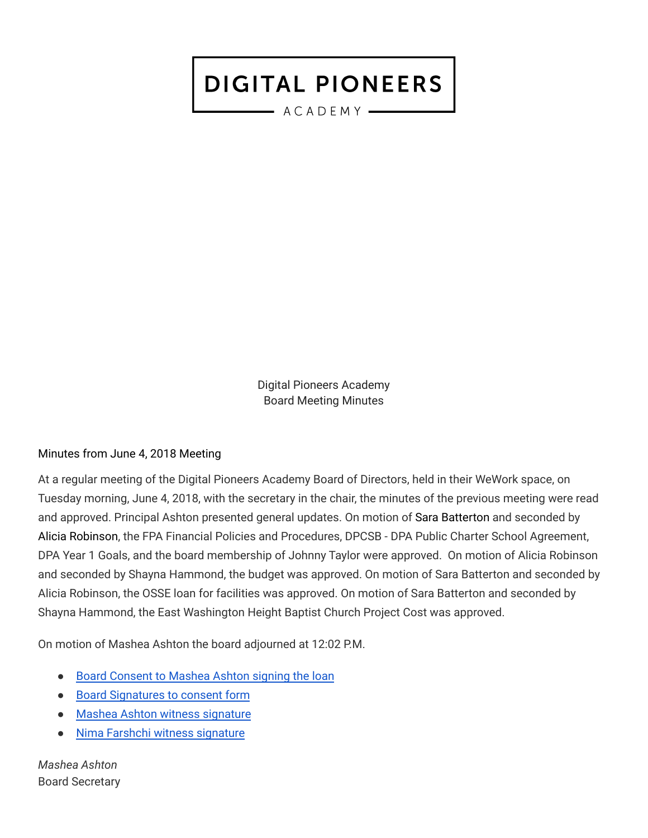$-$  ACADEMY  $-$ 

Digital Pioneers Academy Board Meeting Minutes

### Minutes from June 4, 2018 Meeting

At a regular meeting of the Digital Pioneers Academy Board of Directors, held in their WeWork space, on Tuesday morning, June 4, 2018, with the secretary in the chair, the minutes of the previous meeting were read and approved. Principal Ashton presented general updates. On motion of Sara Batterton and seconded by Alicia Robinson, the FPA Financial Policies and Procedures, DPCSB - DPA Public Charter School Agreement, DPA Year 1 Goals, and the board membership of Johnny Taylor were approved. On motion of Alicia Robinson and seconded by Shayna Hammond, the budget was approved. On motion of Sara Batterton and seconded by Alicia Robinson, the OSSE loan for facilities was approved. On motion of Sara Batterton and seconded by Shayna Hammond, the East Washington Height Baptist Church Project Cost was approved.

On motion of Mashea Ashton the board adjourned at 12:02 P.M.

- Board [Consent](https://drive.google.com/a/digitalpioneersacademy.org/file/d/11isrk43Dpx73IcQxh19eyILPLACMHbG-/view?usp=sharing) to Mashea Ashton signing the loan
- Board [Signatures](https://drive.google.com/a/digitalpioneersacademy.org/file/d/1GzQU0QZL8LNudIMzNimiumPzw2x5TWlx/view?usp=sharing) to consent form
- Mashea Ashton witness [signature](https://drive.google.com/a/digitalpioneersacademy.org/file/d/1FEYoAe9gYfs0Sv2qkDuYXdEvdrRaTun_/view?usp=sharing)
- Nima Farshchi witness [signature](https://drive.google.com/a/digitalpioneersacademy.org/file/d/1AA0Y7LunAzOR71NbETVs97uF8YN2EMkN/view?usp=sharing)

*Mashea Ashton* Board Secretary